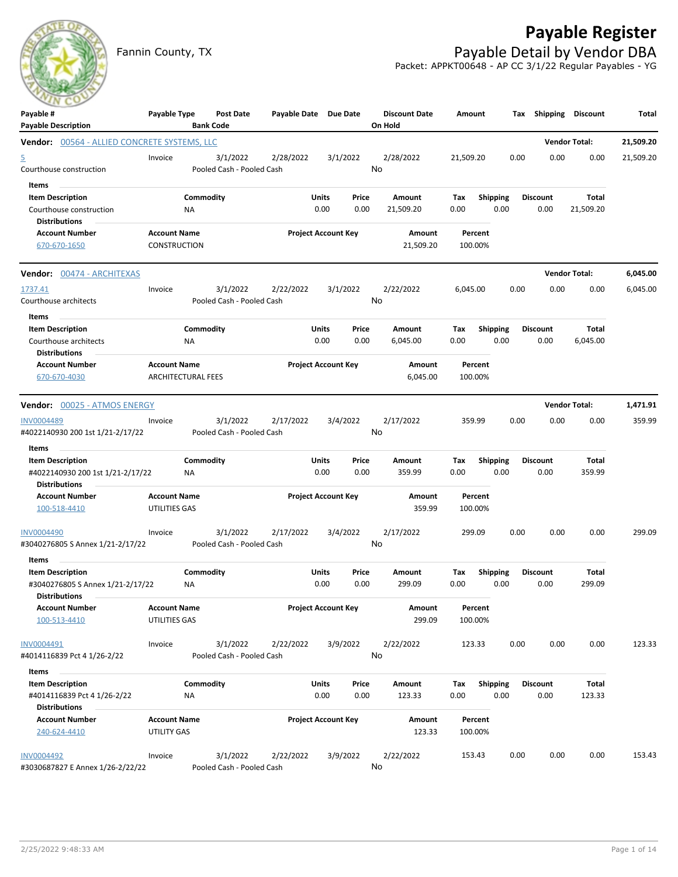## **Payable Register**



Fannin County, TX **Payable Detail by Vendor DBA** Packet: APPKT00648 - AP CC 3/1/22 Regular Payables - YG

| Payable #<br><b>Payable Description</b>                                             | Payable Type                                     | Post Date<br><b>Bank Code</b>         | Payable Date Due Date |                                | <b>Discount Date</b><br>On Hold | Amount             | Tax                     | Shipping                | Discount             | Total     |
|-------------------------------------------------------------------------------------|--------------------------------------------------|---------------------------------------|-----------------------|--------------------------------|---------------------------------|--------------------|-------------------------|-------------------------|----------------------|-----------|
| Vendor: 00564 - ALLIED CONCRETE SYSTEMS, LLC                                        |                                                  |                                       |                       |                                |                                 |                    |                         |                         | <b>Vendor Total:</b> | 21,509.20 |
| <u>5</u><br>Courthouse construction                                                 | Invoice                                          | 3/1/2022<br>Pooled Cash - Pooled Cash | 2/28/2022             | 3/1/2022                       | 2/28/2022<br>No                 | 21,509.20          | 0.00                    | 0.00                    | 0.00                 | 21,509.20 |
| Items<br><b>Item Description</b><br>Courthouse construction<br><b>Distributions</b> | ΝA                                               | Commodity                             |                       | Units<br>Price<br>0.00<br>0.00 | Amount<br>21,509.20             | Tax<br>0.00        | Shipping<br>0.00        | <b>Discount</b><br>0.00 | Total<br>21,509.20   |           |
| <b>Account Number</b><br>670-670-1650                                               | <b>Account Name</b><br><b>CONSTRUCTION</b>       |                                       |                       | <b>Project Account Key</b>     | Amount<br>21,509.20             | Percent<br>100.00% |                         |                         |                      |           |
| Vendor: 00474 - ARCHITEXAS                                                          |                                                  |                                       |                       |                                |                                 |                    |                         |                         | <b>Vendor Total:</b> | 6,045.00  |
| 1737.41<br>Courthouse architects                                                    | Invoice                                          | 3/1/2022<br>Pooled Cash - Pooled Cash | 2/22/2022             | 3/1/2022                       | 2/22/2022<br>No                 | 6,045.00           | 0.00                    | 0.00                    | 0.00                 | 6,045.00  |
| Items<br><b>Item Description</b><br>Courthouse architects<br><b>Distributions</b>   | ΝA                                               | Commodity                             |                       | Units<br>Price<br>0.00<br>0.00 | Amount<br>6,045.00              | Тах<br>0.00        | <b>Shipping</b><br>0.00 | <b>Discount</b><br>0.00 | Total<br>6,045.00    |           |
| <b>Account Number</b><br>670-670-4030                                               | <b>Account Name</b><br><b>ARCHITECTURAL FEES</b> |                                       |                       | <b>Project Account Key</b>     | Amount<br>6,045.00              | Percent<br>100.00% |                         |                         |                      |           |
| <b>Vendor:</b> 00025 - ATMOS ENERGY                                                 |                                                  |                                       |                       |                                |                                 |                    |                         |                         | <b>Vendor Total:</b> | 1,471.91  |
| <b>INV0004489</b><br>#4022140930 200 1st 1/21-2/17/22                               | Invoice                                          | 3/1/2022<br>Pooled Cash - Pooled Cash | 2/17/2022             | 3/4/2022                       | 2/17/2022<br>No                 | 359.99             | 0.00                    | 0.00                    | 0.00                 | 359.99    |
| Items                                                                               |                                                  |                                       |                       |                                |                                 |                    |                         |                         |                      |           |
| <b>Item Description</b><br>#4022140930 200 1st 1/21-2/17/22<br><b>Distributions</b> | ΝA                                               | Commodity                             |                       | Units<br>Price<br>0.00<br>0.00 | Amount<br>359.99                | Tax<br>0.00        | <b>Shipping</b><br>0.00 | <b>Discount</b><br>0.00 | Total<br>359.99      |           |
| <b>Account Number</b><br>100-518-4410                                               | <b>Account Name</b><br>UTILITIES GAS             |                                       |                       | <b>Project Account Key</b>     | Amount<br>359.99                | Percent<br>100.00% |                         |                         |                      |           |
| INV0004490<br>#3040276805 S Annex 1/21-2/17/22                                      | Invoice                                          | 3/1/2022<br>Pooled Cash - Pooled Cash | 2/17/2022             | 3/4/2022                       | 2/17/2022<br>No                 | 299.09             | 0.00                    | 0.00                    | 0.00                 | 299.09    |
| Items                                                                               |                                                  |                                       |                       |                                |                                 |                    |                         |                         |                      |           |
| <b>Item Description</b><br>#3040276805 S Annex 1/21-2/17/22<br><b>Distributions</b> | <b>NA</b>                                        | Commodity                             |                       | Units<br>Price<br>0.00<br>0.00 | Amount<br>299.09                | Tax<br>0.00        | <b>Shipping</b><br>0.00 | <b>Discount</b><br>0.00 | Total<br>299.09      |           |
| <b>Account Number</b><br>100-513-4410                                               | <b>Account Name</b><br>UTILITIES GAS             |                                       |                       | <b>Project Account Key</b>     | Amount<br>299.09                | Percent<br>100.00% |                         |                         |                      |           |
| INV0004491<br>#4014116839 Pct 4 1/26-2/22                                           | Invoice                                          | 3/1/2022<br>Pooled Cash - Pooled Cash | 2/22/2022             | 3/9/2022                       | 2/22/2022<br>No                 | 123.33             | 0.00                    | 0.00                    | 0.00                 | 123.33    |
| Items                                                                               |                                                  |                                       |                       |                                |                                 |                    |                         |                         |                      |           |
| <b>Item Description</b><br>#4014116839 Pct 4 1/26-2/22<br><b>Distributions</b>      | ΝA                                               | Commodity                             |                       | Units<br>Price<br>0.00<br>0.00 | Amount<br>123.33                | Tax<br>0.00        | <b>Shipping</b><br>0.00 | <b>Discount</b><br>0.00 | Total<br>123.33      |           |
| <b>Account Number</b><br>240-624-4410                                               | <b>Account Name</b><br>UTILITY GAS               |                                       |                       | <b>Project Account Key</b>     | Amount<br>123.33                | Percent<br>100.00% |                         |                         |                      |           |
| <b>INV0004492</b><br>#3030687827 E Annex 1/26-2/22/22                               | Invoice                                          | 3/1/2022<br>Pooled Cash - Pooled Cash | 2/22/2022             | 3/9/2022                       | 2/22/2022<br>No                 | 153.43             | 0.00                    | 0.00                    | 0.00                 | 153.43    |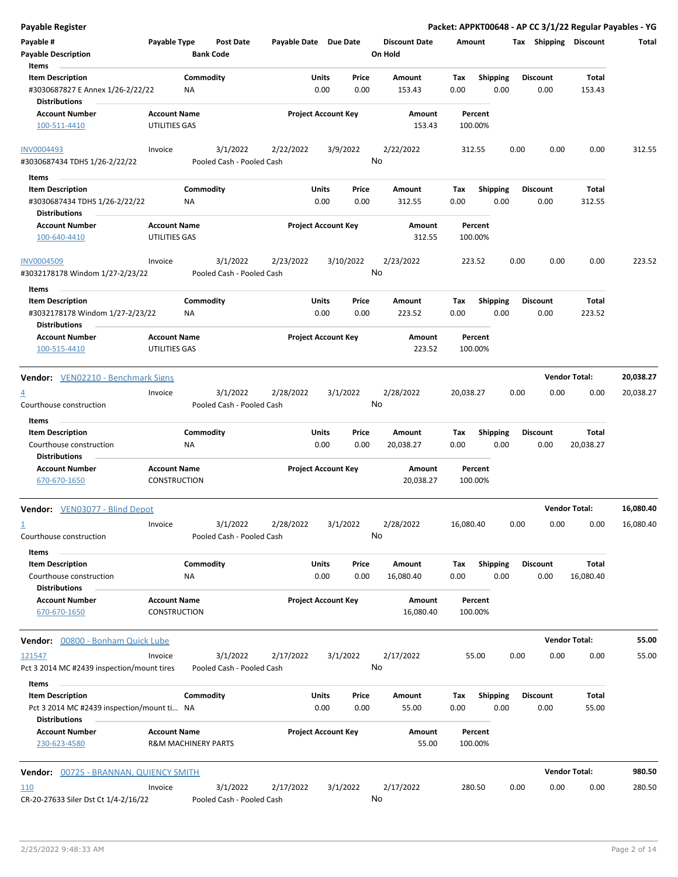| <b>Payable Register</b>                                               |                                                       |                 |                                       |                       |               |                            |    |                                 |             |                         |      |                         | Packet: APPKT00648 - AP CC 3/1/22 Regular Payables - YG |           |
|-----------------------------------------------------------------------|-------------------------------------------------------|-----------------|---------------------------------------|-----------------------|---------------|----------------------------|----|---------------------------------|-------------|-------------------------|------|-------------------------|---------------------------------------------------------|-----------|
| Payable #<br><b>Payable Description</b>                               | Payable Type                                          |                 | <b>Post Date</b><br><b>Bank Code</b>  | Payable Date Due Date |               |                            |    | <b>Discount Date</b><br>On Hold | Amount      |                         |      | Tax Shipping Discount   |                                                         | Total     |
| Items                                                                 |                                                       |                 |                                       |                       |               |                            |    |                                 |             |                         |      |                         |                                                         |           |
| <b>Item Description</b>                                               |                                                       | Commodity       |                                       |                       | Units         | Price                      |    | Amount                          | Tax         | <b>Shipping</b>         |      | <b>Discount</b>         | Total                                                   |           |
| #3030687827 E Annex 1/26-2/22/22<br><b>Distributions</b>              |                                                       | ΝA              |                                       |                       | 0.00          | 0.00                       |    | 153.43                          | 0.00        | 0.00                    |      | 0.00                    | 153.43                                                  |           |
| <b>Account Number</b>                                                 | <b>Account Name</b>                                   |                 |                                       |                       |               | <b>Project Account Key</b> |    | Amount                          |             | Percent                 |      |                         |                                                         |           |
| 100-511-4410                                                          | UTILITIES GAS                                         |                 |                                       |                       |               |                            |    | 153.43                          |             | 100.00%                 |      |                         |                                                         |           |
| <b>INV0004493</b>                                                     | Invoice                                               |                 | 3/1/2022                              | 2/22/2022             |               | 3/9/2022                   |    | 2/22/2022                       |             | 312.55                  | 0.00 | 0.00                    | 0.00                                                    | 312.55    |
| #3030687434 TDHS 1/26-2/22/22                                         |                                                       |                 | Pooled Cash - Pooled Cash             |                       |               |                            | No |                                 |             |                         |      |                         |                                                         |           |
| Items                                                                 |                                                       |                 |                                       |                       |               |                            |    |                                 |             |                         |      |                         |                                                         |           |
| <b>Item Description</b>                                               |                                                       | Commodity       |                                       |                       | Units         | Price                      |    | Amount                          | Tax         | <b>Shipping</b>         |      | <b>Discount</b>         | Total                                                   |           |
| #3030687434 TDHS 1/26-2/22/22                                         |                                                       | ΝA              |                                       |                       | 0.00          | 0.00                       |    | 312.55                          | 0.00        | 0.00                    |      | 0.00                    | 312.55                                                  |           |
| Distributions                                                         |                                                       |                 |                                       |                       |               |                            |    |                                 |             |                         |      |                         |                                                         |           |
| <b>Account Number</b><br>100-640-4410                                 | <b>Account Name</b><br>UTILITIES GAS                  |                 |                                       |                       |               | <b>Project Account Key</b> |    | Amount<br>312.55                |             | Percent<br>100.00%      |      |                         |                                                         |           |
| <b>INV0004509</b>                                                     | Invoice                                               |                 | 3/1/2022                              | 2/23/2022             |               | 3/10/2022                  | No | 2/23/2022                       |             | 223.52                  | 0.00 | 0.00                    | 0.00                                                    | 223.52    |
| #3032178178 Windom 1/27-2/23/22                                       |                                                       |                 | Pooled Cash - Pooled Cash             |                       |               |                            |    |                                 |             |                         |      |                         |                                                         |           |
| Items                                                                 |                                                       |                 |                                       |                       |               |                            |    |                                 |             |                         |      |                         |                                                         |           |
| <b>Item Description</b><br>#3032178178 Windom 1/27-2/23/22            |                                                       | Commodity<br>ΝA |                                       |                       | Units<br>0.00 | Price<br>0.00              |    | Amount<br>223.52                | Tax<br>0.00 | <b>Shipping</b><br>0.00 |      | <b>Discount</b><br>0.00 | Total<br>223.52                                         |           |
| <b>Distributions</b>                                                  |                                                       |                 |                                       |                       |               |                            |    |                                 |             |                         |      |                         |                                                         |           |
| <b>Account Number</b><br>100-515-4410                                 | <b>Account Name</b><br>UTILITIES GAS                  |                 |                                       |                       |               | <b>Project Account Key</b> |    | Amount<br>223.52                |             | Percent<br>100.00%      |      |                         |                                                         |           |
| <b>Vendor:</b> VEN02210 - Benchmark Signs                             |                                                       |                 |                                       |                       |               |                            |    |                                 |             |                         |      |                         | <b>Vendor Total:</b>                                    | 20,038.27 |
| $\overline{4}$                                                        | Invoice                                               |                 | 3/1/2022                              | 2/28/2022             |               | 3/1/2022                   |    | 2/28/2022                       | 20,038.27   |                         | 0.00 | 0.00                    | 0.00                                                    | 20,038.27 |
| Courthouse construction<br>Items                                      |                                                       |                 | Pooled Cash - Pooled Cash             |                       |               |                            | No |                                 |             |                         |      |                         |                                                         |           |
| <b>Item Description</b>                                               |                                                       | Commodity       |                                       |                       | Units         | Price                      |    | Amount                          | Tax         | <b>Shipping</b>         |      | <b>Discount</b>         | Total                                                   |           |
| Courthouse construction<br><b>Distributions</b>                       |                                                       | ΝA              |                                       |                       | 0.00          | 0.00                       |    | 20,038.27                       | 0.00        | 0.00                    |      | 0.00                    | 20,038.27                                               |           |
| <b>Account Number</b><br>670-670-1650                                 | <b>Account Name</b><br><b>CONSTRUCTION</b>            |                 |                                       |                       |               | <b>Project Account Key</b> |    | Amount<br>20,038.27             |             | Percent<br>100.00%      |      |                         |                                                         |           |
|                                                                       |                                                       |                 |                                       |                       |               |                            |    |                                 |             |                         |      |                         |                                                         |           |
| <b>Vendor:</b> VEN03077 - Blind Depot                                 |                                                       |                 |                                       |                       |               |                            |    |                                 |             |                         |      |                         | <b>Vendor Total:</b>                                    | 16,080.40 |
| $\overline{1}$                                                        | Invoice                                               |                 | 3/1/2022                              | 2/28/2022             |               | 3/1/2022                   |    | 2/28/2022                       | 16,080.40   |                         | 0.00 | 0.00                    | 0.00                                                    | 16,080.40 |
| Courthouse construction<br>Items                                      |                                                       |                 | Pooled Cash - Pooled Cash             |                       |               |                            | No |                                 |             |                         |      |                         |                                                         |           |
| <b>Item Description</b>                                               |                                                       | Commodity       |                                       |                       | Units         | Price                      |    | Amount                          | Tax         | Shipping                |      | <b>Discount</b>         | Total                                                   |           |
| Courthouse construction<br><b>Distributions</b>                       |                                                       | ΝA              |                                       |                       | 0.00          | 0.00                       |    | 16,080.40                       | 0.00        | 0.00                    |      | 0.00                    | 16,080.40                                               |           |
| <b>Account Number</b><br>670-670-1650                                 | <b>Account Name</b><br><b>CONSTRUCTION</b>            |                 |                                       |                       |               | <b>Project Account Key</b> |    | Amount<br>16,080.40             |             | Percent<br>100.00%      |      |                         |                                                         |           |
|                                                                       |                                                       |                 |                                       |                       |               |                            |    |                                 |             |                         |      |                         |                                                         |           |
| Vendor: 00800 - Bonham Quick Lube                                     |                                                       |                 |                                       |                       |               |                            |    |                                 |             |                         |      |                         | <b>Vendor Total:</b>                                    | 55.00     |
| 121547<br>Pct 3 2014 MC #2439 inspection/mount tires                  | Invoice                                               |                 | 3/1/2022<br>Pooled Cash - Pooled Cash | 2/17/2022             |               | 3/1/2022                   | No | 2/17/2022                       |             | 55.00                   | 0.00 | 0.00                    | 0.00                                                    | 55.00     |
| Items                                                                 |                                                       |                 |                                       |                       |               |                            |    |                                 |             |                         |      |                         |                                                         |           |
| <b>Item Description</b><br>Pct 3 2014 MC #2439 inspection/mount ti NA |                                                       | Commodity       |                                       |                       | Units<br>0.00 | Price<br>0.00              |    | Amount<br>55.00                 | Тах<br>0.00 | <b>Shipping</b><br>0.00 |      | <b>Discount</b><br>0.00 | Total<br>55.00                                          |           |
| <b>Distributions</b>                                                  |                                                       |                 |                                       |                       |               |                            |    |                                 |             |                         |      |                         |                                                         |           |
| <b>Account Number</b><br>230-623-4580                                 | <b>Account Name</b><br><b>R&amp;M MACHINERY PARTS</b> |                 |                                       |                       |               | <b>Project Account Key</b> |    | Amount<br>55.00                 |             | Percent<br>100.00%      |      |                         |                                                         |           |
| <b>Vendor: 00725 - BRANNAN, QUIENCY SMITH</b>                         |                                                       |                 |                                       |                       |               |                            |    |                                 |             |                         |      |                         | <b>Vendor Total:</b>                                    | 980.50    |
| <u>110</u>                                                            | Invoice                                               |                 | 3/1/2022                              | 2/17/2022             |               | 3/1/2022                   |    | 2/17/2022                       |             | 280.50                  | 0.00 | 0.00                    | 0.00                                                    | 280.50    |
| CR-20-27633 Siler Dst Ct 1/4-2/16/22                                  |                                                       |                 | Pooled Cash - Pooled Cash             |                       |               |                            | No |                                 |             |                         |      |                         |                                                         |           |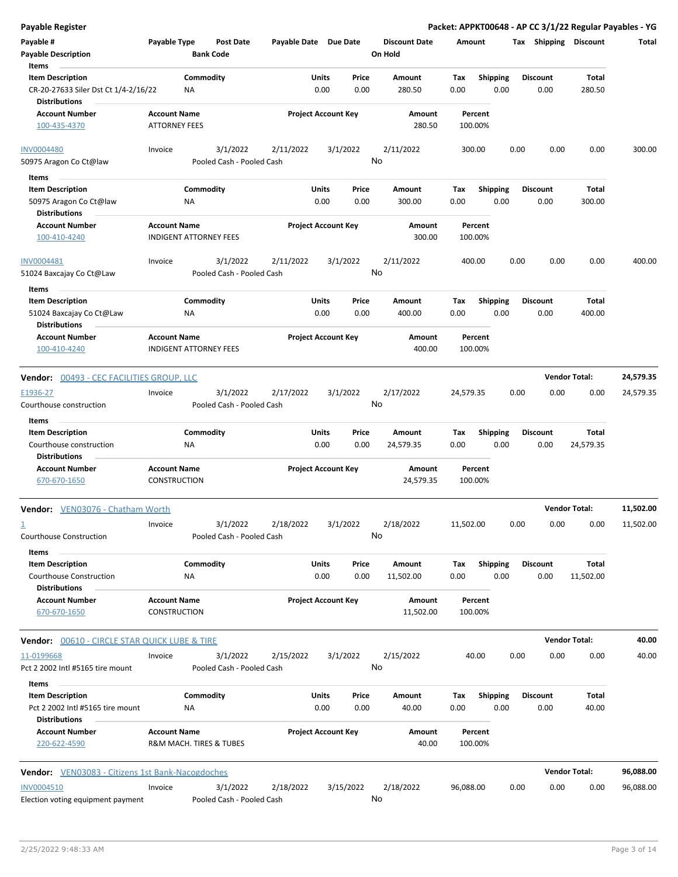| <b>Payable Register</b>                                                                          |                                                      |                 |                                       |                       |                            |               |                                 |             |                         |      |                         |                      | Packet: APPKT00648 - AP CC 3/1/22 Regular Payables - YG |
|--------------------------------------------------------------------------------------------------|------------------------------------------------------|-----------------|---------------------------------------|-----------------------|----------------------------|---------------|---------------------------------|-------------|-------------------------|------|-------------------------|----------------------|---------------------------------------------------------|
| Payable #<br><b>Payable Description</b>                                                          | Payable Type                                         |                 | <b>Post Date</b><br><b>Bank Code</b>  | Payable Date Due Date |                            |               | <b>Discount Date</b><br>On Hold | Amount      |                         |      | Tax Shipping Discount   |                      | Total                                                   |
| Items<br><b>Item Description</b><br>CR-20-27633 Siler Dst Ct 1/4-2/16/22<br><b>Distributions</b> |                                                      | Commodity<br>ΝA |                                       |                       | Units<br>0.00              | Price<br>0.00 | <b>Amount</b><br>280.50         | Tax<br>0.00 | <b>Shipping</b><br>0.00 |      | <b>Discount</b><br>0.00 | Total<br>280.50      |                                                         |
| <b>Account Number</b><br>100-435-4370                                                            | <b>Account Name</b><br><b>ATTORNEY FEES</b>          |                 |                                       |                       | <b>Project Account Key</b> |               | Amount<br>280.50                |             | Percent<br>100.00%      |      |                         |                      |                                                         |
| <b>INV0004480</b><br>50975 Aragon Co Ct@law                                                      | Invoice                                              |                 | 3/1/2022<br>Pooled Cash - Pooled Cash | 2/11/2022             |                            | 3/1/2022      | 2/11/2022<br>No                 |             | 300.00                  | 0.00 | 0.00                    | 0.00                 | 300.00                                                  |
| Items<br><b>Item Description</b><br>50975 Aragon Co Ct@law<br><b>Distributions</b>               |                                                      | Commodity<br>ΝA |                                       |                       | Units<br>0.00              | Price<br>0.00 | Amount<br>300.00                | Tax<br>0.00 | <b>Shipping</b><br>0.00 |      | <b>Discount</b><br>0.00 | Total<br>300.00      |                                                         |
| <b>Account Number</b><br>100-410-4240                                                            | <b>Account Name</b><br><b>INDIGENT ATTORNEY FEES</b> |                 |                                       |                       | <b>Project Account Key</b> |               | Amount<br>300.00                |             | Percent<br>100.00%      |      |                         |                      |                                                         |
| INV0004481<br>51024 Baxcajay Co Ct@Law                                                           | Invoice                                              |                 | 3/1/2022<br>Pooled Cash - Pooled Cash | 2/11/2022             |                            | 3/1/2022      | 2/11/2022<br>No                 |             | 400.00                  | 0.00 | 0.00                    | 0.00                 | 400.00                                                  |
| Items<br><b>Item Description</b><br>51024 Baxcajay Co Ct@Law<br><b>Distributions</b>             |                                                      | Commodity<br>NA |                                       |                       | Units<br>0.00              | Price<br>0.00 | Amount<br>400.00                | Tax<br>0.00 | <b>Shipping</b><br>0.00 |      | <b>Discount</b><br>0.00 | Total<br>400.00      |                                                         |
| <b>Account Number</b><br>100-410-4240                                                            | <b>Account Name</b><br><b>INDIGENT ATTORNEY FEES</b> |                 |                                       |                       | <b>Project Account Key</b> |               | Amount<br>400.00                |             | Percent<br>100.00%      |      |                         |                      |                                                         |
| <b>Vendor: 00493 - CEC FACILITIES GROUP, LLC</b>                                                 |                                                      |                 |                                       |                       |                            |               |                                 |             |                         |      |                         | <b>Vendor Total:</b> | 24,579.35                                               |
| E1936-27<br>Courthouse construction                                                              | Invoice                                              |                 | 3/1/2022<br>Pooled Cash - Pooled Cash | 2/17/2022             |                            | 3/1/2022      | 2/17/2022<br>No                 | 24,579.35   |                         | 0.00 | 0.00                    | 0.00                 | 24,579.35                                               |
| Items<br><b>Item Description</b><br>Courthouse construction<br><b>Distributions</b>              |                                                      | Commodity<br>ΝA |                                       |                       | Units<br>0.00              | Price<br>0.00 | Amount<br>24,579.35             | Tax<br>0.00 | <b>Shipping</b><br>0.00 |      | <b>Discount</b><br>0.00 | Total<br>24,579.35   |                                                         |
| <b>Account Number</b><br>670-670-1650                                                            | <b>Account Name</b><br>CONSTRUCTION                  |                 |                                       |                       | <b>Project Account Key</b> |               | Amount<br>24,579.35             |             | Percent<br>100.00%      |      |                         |                      |                                                         |
| Vendor: VEN03076 - Chatham Worth                                                                 |                                                      |                 |                                       |                       |                            |               |                                 |             |                         |      |                         | <b>Vendor Total:</b> | 11,502.00                                               |
| $\overline{\mathbf{1}}$<br>Courthouse Construction                                               | Invoice                                              |                 | 3/1/2022<br>Pooled Cash - Pooled Cash | 2/18/2022             |                            | 3/1/2022      | 2/18/2022<br>No                 | 11,502.00   |                         | 0.00 | 0.00                    | 0.00                 | 11,502.00                                               |
| Items<br><b>Item Description</b><br>Courthouse Construction<br><b>Distributions</b>              |                                                      | Commodity<br>ΝA |                                       |                       | Units<br>0.00              | Price<br>0.00 | Amount<br>11,502.00             | Tax<br>0.00 | Shipping<br>0.00        |      | <b>Discount</b><br>0.00 | Total<br>11,502.00   |                                                         |
| <b>Account Number</b><br>670-670-1650                                                            | <b>Account Name</b><br>CONSTRUCTION                  |                 |                                       |                       | <b>Project Account Key</b> |               | Amount<br>11,502.00             |             | Percent<br>100.00%      |      |                         |                      |                                                         |
| <b>Vendor:</b> 00610 - CIRCLE STAR QUICK LUBE & TIRE                                             |                                                      |                 |                                       |                       |                            |               |                                 |             |                         |      |                         | <b>Vendor Total:</b> | 40.00                                                   |
| 11-0199668<br>Pct 2 2002 Intl #5165 tire mount                                                   | Invoice                                              |                 | 3/1/2022<br>Pooled Cash - Pooled Cash | 2/15/2022             |                            | 3/1/2022      | 2/15/2022<br>No                 |             | 40.00                   | 0.00 | 0.00                    | 0.00                 | 40.00                                                   |
| Items<br><b>Item Description</b><br>Pct 2 2002 Intl #5165 tire mount<br><b>Distributions</b>     |                                                      | Commodity<br>ΝA |                                       |                       | Units<br>0.00              | Price<br>0.00 | Amount<br>40.00                 | Tax<br>0.00 | <b>Shipping</b><br>0.00 |      | <b>Discount</b><br>0.00 | Total<br>40.00       |                                                         |
| <b>Account Number</b><br>220-622-4590                                                            | <b>Account Name</b>                                  |                 | R&M MACH. TIRES & TUBES               |                       | <b>Project Account Key</b> |               | Amount<br>40.00                 |             | Percent<br>100.00%      |      |                         |                      |                                                         |
| <b>Vendor:</b> VEN03083 - Citizens 1st Bank-Nacogdoches                                          |                                                      |                 |                                       |                       |                            |               |                                 |             |                         |      |                         | <b>Vendor Total:</b> | 96,088.00                                               |
| <b>INV0004510</b><br>Election voting equipment payment                                           | Invoice                                              |                 | 3/1/2022<br>Pooled Cash - Pooled Cash | 2/18/2022             |                            | 3/15/2022     | 2/18/2022<br>No                 | 96,088.00   |                         | 0.00 | 0.00                    | 0.00                 | 96,088.00                                               |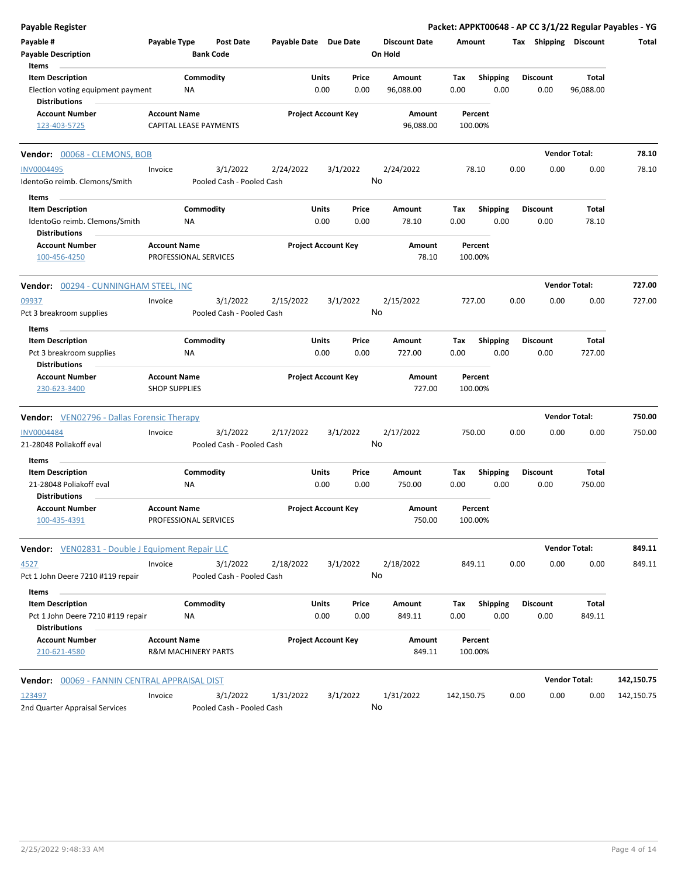| <b>Payable Register</b>                                   |                                              |           |                                      |                       |                            |          |                                 |            |                    |      |                 |                       | Packet: APPKT00648 - AP CC 3/1/22 Regular Payables - YG |
|-----------------------------------------------------------|----------------------------------------------|-----------|--------------------------------------|-----------------------|----------------------------|----------|---------------------------------|------------|--------------------|------|-----------------|-----------------------|---------------------------------------------------------|
| Payable #<br><b>Payable Description</b>                   | Payable Type                                 |           | <b>Post Date</b><br><b>Bank Code</b> | Payable Date Due Date |                            |          | <b>Discount Date</b><br>On Hold | Amount     |                    |      |                 | Tax Shipping Discount | Total                                                   |
| Items                                                     |                                              |           |                                      |                       |                            |          |                                 |            |                    |      |                 |                       |                                                         |
| <b>Item Description</b>                                   |                                              | Commodity |                                      |                       | Units                      | Price    | Amount                          | Tax        | <b>Shipping</b>    |      | <b>Discount</b> | Total                 |                                                         |
| Election voting equipment payment<br><b>Distributions</b> |                                              | <b>NA</b> |                                      |                       | 0.00                       | 0.00     | 96,088.00                       | 0.00       | 0.00               |      | 0.00            | 96,088.00             |                                                         |
| <b>Account Number</b>                                     | <b>Account Name</b>                          |           |                                      |                       | <b>Project Account Key</b> |          | Amount                          |            | Percent            |      |                 |                       |                                                         |
| 123-403-5725                                              | CAPITAL LEASE PAYMENTS                       |           |                                      |                       |                            |          | 96,088.00                       |            | 100.00%            |      |                 |                       |                                                         |
| Vendor: 00068 - CLEMONS, BOB                              |                                              |           |                                      |                       |                            |          |                                 |            |                    |      |                 | <b>Vendor Total:</b>  | 78.10                                                   |
| <b>INV0004495</b>                                         | Invoice                                      |           | 3/1/2022                             | 2/24/2022             |                            | 3/1/2022 | 2/24/2022                       |            | 78.10              | 0.00 | 0.00            | 0.00                  | 78.10                                                   |
| IdentoGo reimb. Clemons/Smith                             |                                              |           | Pooled Cash - Pooled Cash            |                       |                            |          | No                              |            |                    |      |                 |                       |                                                         |
| Items                                                     |                                              |           |                                      |                       |                            |          |                                 |            |                    |      |                 |                       |                                                         |
| <b>Item Description</b>                                   |                                              | Commodity |                                      |                       | Units                      | Price    | Amount                          | Тах        | <b>Shipping</b>    |      | <b>Discount</b> | Total                 |                                                         |
| IdentoGo reimb. Clemons/Smith<br><b>Distributions</b>     |                                              | NA        |                                      |                       | 0.00                       | 0.00     | 78.10                           | 0.00       | 0.00               |      | 0.00            | 78.10                 |                                                         |
| <b>Account Number</b>                                     | <b>Account Name</b>                          |           |                                      |                       | <b>Project Account Key</b> |          | Amount                          |            | Percent            |      |                 |                       |                                                         |
| 100-456-4250                                              | PROFESSIONAL SERVICES                        |           |                                      |                       |                            |          | 78.10                           |            | 100.00%            |      |                 |                       |                                                         |
| Vendor: 00294 - CUNNINGHAM STEEL, INC                     |                                              |           |                                      |                       |                            |          |                                 |            |                    |      |                 | <b>Vendor Total:</b>  | 727.00                                                  |
| 09937                                                     | Invoice                                      |           | 3/1/2022                             | 2/15/2022             |                            | 3/1/2022 | 2/15/2022                       |            | 727.00             | 0.00 | 0.00            | 0.00                  | 727.00                                                  |
| Pct 3 breakroom supplies                                  |                                              |           | Pooled Cash - Pooled Cash            |                       |                            |          | No                              |            |                    |      |                 |                       |                                                         |
| Items                                                     |                                              |           |                                      |                       |                            |          |                                 |            |                    |      |                 |                       |                                                         |
| <b>Item Description</b>                                   |                                              | Commodity |                                      |                       | Units                      | Price    | Amount                          | Тах        | <b>Shipping</b>    |      | <b>Discount</b> | Total                 |                                                         |
| Pct 3 breakroom supplies<br><b>Distributions</b>          |                                              | ΝA        |                                      |                       | 0.00                       | 0.00     | 727.00                          | 0.00       | 0.00               |      | 0.00            | 727.00                |                                                         |
| <b>Account Number</b>                                     | <b>Account Name</b>                          |           |                                      |                       | <b>Project Account Key</b> |          | Amount                          |            | Percent            |      |                 |                       |                                                         |
| 230-623-3400                                              | <b>SHOP SUPPLIES</b>                         |           |                                      |                       |                            |          | 727.00                          |            | 100.00%            |      |                 |                       |                                                         |
| <b>Vendor:</b> VEN02796 - Dallas Forensic Therapy         |                                              |           |                                      |                       |                            |          |                                 |            |                    |      |                 | <b>Vendor Total:</b>  | 750.00                                                  |
| <b>INV0004484</b>                                         | Invoice                                      |           | 3/1/2022                             | 2/17/2022             |                            | 3/1/2022 | 2/17/2022                       |            | 750.00             | 0.00 | 0.00            | 0.00                  | 750.00                                                  |
| 21-28048 Poliakoff eval                                   |                                              |           | Pooled Cash - Pooled Cash            |                       |                            |          | No                              |            |                    |      |                 |                       |                                                         |
| Items                                                     |                                              |           |                                      |                       |                            |          |                                 |            |                    |      |                 |                       |                                                         |
| <b>Item Description</b>                                   |                                              | Commodity |                                      |                       | Units                      | Price    | <b>Amount</b>                   | Тах        | Shipping           |      | <b>Discount</b> | Total                 |                                                         |
| 21-28048 Poliakoff eval                                   |                                              | ΝA        |                                      |                       | 0.00                       | 0.00     | 750.00                          | 0.00       | 0.00               |      | 0.00            | 750.00                |                                                         |
| <b>Distributions</b>                                      |                                              |           |                                      |                       |                            |          |                                 |            |                    |      |                 |                       |                                                         |
| <b>Account Number</b><br>100-435-4391                     | <b>Account Name</b><br>PROFESSIONAL SERVICES |           |                                      |                       | <b>Project Account Key</b> |          | Amount<br>750.00                |            | Percent<br>100.00% |      |                 |                       |                                                         |
| <b>Vendor:</b> VEN02831 - Double J Equipment Repair LLC   |                                              |           |                                      |                       |                            |          |                                 |            |                    |      |                 | <b>Vendor Total:</b>  | 849.11                                                  |
| 4527                                                      | Invoice                                      |           | 3/1/2022                             | 2/18/2022             |                            | 3/1/2022 | 2/18/2022                       |            | 849.11             | 0.00 | 0.00            | 0.00                  | 849.11                                                  |
| Pct 1 John Deere 7210 #119 repair                         |                                              |           | Pooled Cash - Pooled Cash            |                       |                            |          | No                              |            |                    |      |                 |                       |                                                         |
| Items                                                     |                                              |           |                                      |                       |                            |          |                                 |            |                    |      |                 |                       |                                                         |
| <b>Item Description</b>                                   |                                              | Commodity |                                      |                       | Units                      | Price    | Amount                          | Tax        | <b>Shipping</b>    |      | <b>Discount</b> | Total                 |                                                         |
| Pct 1 John Deere 7210 #119 repair                         |                                              | ΝA        |                                      |                       | 0.00                       | 0.00     | 849.11                          | 0.00       | 0.00               |      | 0.00            | 849.11                |                                                         |
| <b>Distributions</b>                                      |                                              |           |                                      |                       |                            |          |                                 |            |                    |      |                 |                       |                                                         |
| <b>Account Number</b>                                     | <b>Account Name</b>                          |           |                                      |                       | <b>Project Account Key</b> |          | Amount                          |            | Percent            |      |                 |                       |                                                         |
| 210-621-4580                                              | R&M MACHINERY PARTS                          |           |                                      |                       |                            |          | 849.11                          |            | 100.00%            |      |                 |                       |                                                         |
| <b>Vendor: 00069 - FANNIN CENTRAL APPRAISAL DIST</b>      |                                              |           |                                      |                       |                            |          |                                 |            |                    |      |                 | <b>Vendor Total:</b>  | 142,150.75                                              |
| 123497                                                    | Invoice                                      |           | 3/1/2022                             | 1/31/2022             |                            | 3/1/2022 | 1/31/2022                       | 142,150.75 |                    | 0.00 | 0.00            | 0.00                  | 142,150.75                                              |
| 2nd Quarter Appraisal Services                            |                                              |           | Pooled Cash - Pooled Cash            |                       |                            |          | No                              |            |                    |      |                 |                       |                                                         |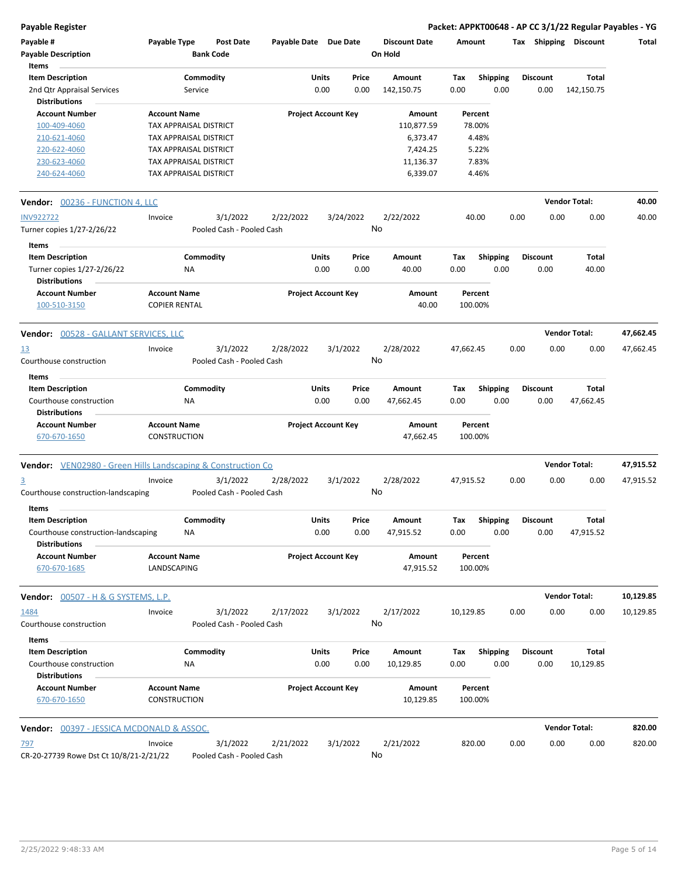**Payable Register Packet: APPKT00648 - AP CC 3/1/22 Regular Payables - YG**

| Payable #<br><b>Payable Description</b><br>Items                    | Payable Type                                | <b>Bank Code</b> | <b>Post Date</b>          | Payable Date Due Date |                            |           | <b>Discount Date</b><br>On Hold | Amount    |                 | Tax  | <b>Shipping</b> | <b>Discount</b>      | Total     |
|---------------------------------------------------------------------|---------------------------------------------|------------------|---------------------------|-----------------------|----------------------------|-----------|---------------------------------|-----------|-----------------|------|-----------------|----------------------|-----------|
| <b>Item Description</b>                                             |                                             | Commodity        |                           |                       | Units                      | Price     | Amount                          | Tax       | <b>Shipping</b> |      | <b>Discount</b> | Total                |           |
| 2nd Qtr Appraisal Services                                          |                                             | Service          |                           |                       | 0.00                       | 0.00      | 142,150.75                      | 0.00      | 0.00            |      | 0.00            | 142,150.75           |           |
| <b>Distributions</b>                                                |                                             |                  |                           |                       |                            |           |                                 |           |                 |      |                 |                      |           |
| <b>Account Number</b>                                               | <b>Account Name</b>                         |                  |                           |                       | <b>Project Account Key</b> |           | Amount                          |           | Percent         |      |                 |                      |           |
| 100-409-4060                                                        | TAX APPRAISAL DISTRICT                      |                  |                           |                       |                            |           | 110,877.59                      |           | 78.00%          |      |                 |                      |           |
| 210-621-4060                                                        | TAX APPRAISAL DISTRICT                      |                  |                           |                       |                            |           | 6,373.47                        |           | 4.48%           |      |                 |                      |           |
| 220-622-4060                                                        | TAX APPRAISAL DISTRICT                      |                  |                           |                       |                            |           | 7,424.25                        |           | 5.22%           |      |                 |                      |           |
| 230-623-4060                                                        | TAX APPRAISAL DISTRICT                      |                  |                           |                       |                            |           | 11,136.37                       |           | 7.83%           |      |                 |                      |           |
| 240-624-4060                                                        | TAX APPRAISAL DISTRICT                      |                  |                           |                       |                            |           | 6,339.07                        |           | 4.46%           |      |                 |                      |           |
| <b>Vendor: 00236 - FUNCTION 4, LLC</b>                              |                                             |                  |                           |                       |                            |           |                                 |           |                 |      |                 | <b>Vendor Total:</b> | 40.00     |
| <b>INV922722</b>                                                    | Invoice                                     |                  | 3/1/2022                  | 2/22/2022             |                            | 3/24/2022 | 2/22/2022                       |           | 40.00           | 0.00 | 0.00            | 0.00                 | 40.00     |
| Turner copies 1/27-2/26/22                                          |                                             |                  | Pooled Cash - Pooled Cash |                       |                            |           | No                              |           |                 |      |                 |                      |           |
|                                                                     |                                             |                  |                           |                       |                            |           |                                 |           |                 |      |                 |                      |           |
| Items                                                               |                                             |                  |                           |                       |                            |           |                                 |           |                 |      |                 |                      |           |
| <b>Item Description</b>                                             |                                             | Commodity        |                           |                       | Units                      | Price     | Amount                          | Tax       | <b>Shipping</b> |      | <b>Discount</b> | Total                |           |
| Turner copies 1/27-2/26/22<br><b>Distributions</b>                  |                                             | ΝA               |                           |                       | 0.00                       | 0.00      | 40.00                           | 0.00      | 0.00            |      | 0.00            | 40.00                |           |
| <b>Account Number</b><br>100-510-3150                               | <b>Account Name</b><br><b>COPIER RENTAL</b> |                  |                           |                       | <b>Project Account Key</b> |           | <b>Amount</b><br>40.00          | 100.00%   | Percent         |      |                 |                      |           |
| Vendor: 00528 - GALLANT SERVICES, LLC                               |                                             |                  |                           |                       |                            |           |                                 |           |                 |      |                 | <b>Vendor Total:</b> | 47,662.45 |
|                                                                     | Invoice                                     |                  | 3/1/2022                  | 2/28/2022             |                            | 3/1/2022  | 2/28/2022                       | 47,662.45 |                 | 0.00 | 0.00            | 0.00                 | 47,662.45 |
| <u>13</u><br>Courthouse construction                                |                                             |                  | Pooled Cash - Pooled Cash |                       |                            |           | No                              |           |                 |      |                 |                      |           |
| Items                                                               |                                             |                  |                           |                       |                            |           |                                 |           |                 |      |                 |                      |           |
| <b>Item Description</b>                                             |                                             | Commodity        |                           |                       | Units                      | Price     | Amount                          | Tax       | <b>Shipping</b> |      | <b>Discount</b> | Total                |           |
| Courthouse construction                                             |                                             | NA               |                           |                       | 0.00                       | 0.00      | 47,662.45                       | 0.00      | 0.00            |      | 0.00            | 47,662.45            |           |
| <b>Distributions</b>                                                |                                             |                  |                           |                       |                            |           |                                 |           |                 |      |                 |                      |           |
| <b>Account Number</b>                                               | <b>Account Name</b>                         |                  |                           |                       | <b>Project Account Key</b> |           | Amount                          |           | Percent         |      |                 |                      |           |
| 670-670-1650                                                        | CONSTRUCTION                                |                  |                           |                       |                            |           | 47,662.45                       | 100.00%   |                 |      |                 |                      |           |
| <b>Vendor:</b> VEN02980 - Green Hills Landscaping & Construction Co |                                             |                  |                           |                       |                            |           |                                 |           |                 |      |                 | <b>Vendor Total:</b> | 47,915.52 |
| $\overline{3}$                                                      | Invoice                                     |                  | 3/1/2022                  | 2/28/2022             |                            | 3/1/2022  | 2/28/2022                       | 47,915.52 |                 | 0.00 | 0.00            | 0.00                 | 47,915.52 |
| Courthouse construction-landscaping                                 |                                             |                  | Pooled Cash - Pooled Cash |                       |                            |           | No                              |           |                 |      |                 |                      |           |
| Items                                                               |                                             |                  |                           |                       |                            |           |                                 |           |                 |      |                 |                      |           |
| <b>Item Description</b>                                             |                                             | Commodity        |                           |                       | Units                      | Price     | Amount                          | Тах       | <b>Shipping</b> |      | <b>Discount</b> | Total                |           |
| Courthouse construction-landscaping<br><b>Distributions</b>         | NA                                          |                  |                           |                       | 0.00                       | 0.00      | 47,915.52                       | 0.00      | 0.00            |      | 0.00            | 47,915.52            |           |
| <b>Account Number</b><br>670-670-1685                               | <b>Account Name</b><br>LANDSCAPING          |                  |                           |                       | <b>Project Account Key</b> |           | Amount<br>47,915.52             | 100.00%   | Percent         |      |                 |                      |           |
| <b>Vendor:</b> 00507 - H & G SYSTEMS, L.P.                          |                                             |                  |                           |                       |                            |           |                                 |           |                 |      |                 | <b>Vendor Total:</b> | 10,129.85 |
| 1484                                                                | Invoice                                     |                  | 3/1/2022                  | 2/17/2022             |                            | 3/1/2022  | 2/17/2022                       | 10,129.85 |                 | 0.00 | 0.00            | 0.00                 | 10,129.85 |
| Courthouse construction                                             |                                             |                  | Pooled Cash - Pooled Cash |                       |                            |           | No                              |           |                 |      |                 |                      |           |
| Items                                                               |                                             |                  |                           |                       |                            |           |                                 |           |                 |      |                 |                      |           |
| <b>Item Description</b>                                             |                                             | Commodity        |                           |                       | Units                      | Price     | Amount                          | Tax       | <b>Shipping</b> |      | <b>Discount</b> | Total                |           |
| Courthouse construction<br>Distributions                            |                                             | NA               |                           |                       | 0.00                       | 0.00      | 10,129.85                       | 0.00      | 0.00            |      | 0.00            | 10,129.85            |           |
| <b>Account Number</b><br>670-670-1650                               | <b>Account Name</b><br><b>CONSTRUCTION</b>  |                  |                           |                       | <b>Project Account Key</b> |           | Amount<br>10,129.85             | 100.00%   | Percent         |      |                 |                      |           |
| <b>Vendor: 00397 - JESSICA MCDONALD &amp; ASSOC.</b>                |                                             |                  |                           |                       |                            |           |                                 |           |                 |      |                 | <b>Vendor Total:</b> | 820.00    |
| <u>797</u>                                                          | Invoice                                     |                  | 3/1/2022                  | 2/21/2022             |                            | 3/1/2022  | 2/21/2022                       | 820.00    |                 | 0.00 | 0.00            | 0.00                 | 820.00    |
| CR-20-27739 Rowe Dst Ct 10/8/21-2/21/22                             |                                             |                  | Pooled Cash - Pooled Cash |                       |                            |           | No                              |           |                 |      |                 |                      |           |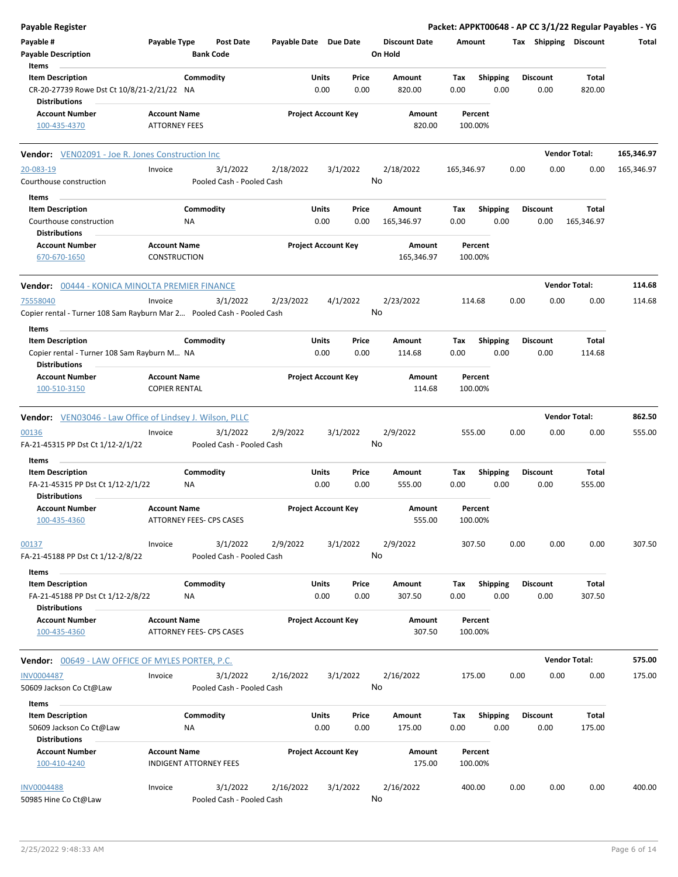| Payable Register                                                       |                      |                               |                       |                            |               |                      |             |                         |      |                         |                       | Packet: APPKT00648 - AP CC 3/1/22 Regular Payables - YG |
|------------------------------------------------------------------------|----------------------|-------------------------------|-----------------------|----------------------------|---------------|----------------------|-------------|-------------------------|------|-------------------------|-----------------------|---------------------------------------------------------|
| Payable #                                                              | Payable Type         | <b>Post Date</b>              | Payable Date Due Date |                            |               | <b>Discount Date</b> | Amount      |                         |      |                         | Tax Shipping Discount | Total                                                   |
| Payable Description                                                    |                      | <b>Bank Code</b>              |                       |                            |               | On Hold              |             |                         |      |                         |                       |                                                         |
| Items                                                                  |                      |                               |                       |                            |               |                      |             |                         |      |                         |                       |                                                         |
| <b>Item Description</b>                                                |                      | Commodity                     |                       | Units                      | Price         | Amount               | Tax         | <b>Shipping</b>         |      | <b>Discount</b>         | Total                 |                                                         |
| CR-20-27739 Rowe Dst Ct 10/8/21-2/21/22 NA<br><b>Distributions</b>     |                      |                               |                       | 0.00                       | 0.00          | 820.00               | 0.00        | 0.00                    |      | 0.00                    | 820.00                |                                                         |
| <b>Account Number</b>                                                  | <b>Account Name</b>  |                               |                       | <b>Project Account Key</b> |               | Amount               |             | Percent                 |      |                         |                       |                                                         |
| 100-435-4370                                                           | <b>ATTORNEY FEES</b> |                               |                       |                            |               | 820.00               |             | 100.00%                 |      |                         |                       |                                                         |
| <b>Vendor:</b> VEN02091 - Joe R. Jones Construction Inc                |                      |                               |                       |                            |               |                      |             |                         |      |                         | <b>Vendor Total:</b>  | 165,346.97                                              |
| 20-083-19                                                              | Invoice              | 3/1/2022                      | 2/18/2022             |                            | 3/1/2022      | 2/18/2022            | 165,346.97  |                         | 0.00 | 0.00                    | 0.00                  | 165,346.97                                              |
| Courthouse construction                                                |                      | Pooled Cash - Pooled Cash     |                       |                            | No            |                      |             |                         |      |                         |                       |                                                         |
| Items                                                                  |                      |                               |                       |                            |               |                      |             |                         |      |                         |                       |                                                         |
| <b>Item Description</b>                                                |                      | Commodity                     |                       | Units                      | Price         | Amount               | Tax         | <b>Shipping</b>         |      | <b>Discount</b>         | Total                 |                                                         |
| Courthouse construction                                                | ΝA                   |                               |                       | 0.00                       | 0.00          | 165,346.97           | 0.00        | 0.00                    |      | 0.00                    | 165,346.97            |                                                         |
| <b>Distributions</b>                                                   |                      |                               |                       |                            |               |                      |             |                         |      |                         |                       |                                                         |
| <b>Account Number</b>                                                  | <b>Account Name</b>  |                               |                       | <b>Project Account Key</b> |               | Amount               |             | Percent                 |      |                         |                       |                                                         |
| 670-670-1650                                                           | <b>CONSTRUCTION</b>  |                               |                       |                            |               | 165,346.97           |             | 100.00%                 |      |                         |                       |                                                         |
| <b>Vendor:</b> 00444 - KONICA MINOLTA PREMIER FINANCE                  |                      |                               |                       |                            |               |                      |             |                         |      |                         | <b>Vendor Total:</b>  | 114.68                                                  |
| 75558040                                                               | Invoice              | 3/1/2022                      | 2/23/2022             |                            | 4/1/2022      | 2/23/2022            |             | 114.68                  | 0.00 | 0.00                    | 0.00                  | 114.68                                                  |
| Copier rental - Turner 108 Sam Rayburn Mar 2 Pooled Cash - Pooled Cash |                      |                               |                       |                            | No            |                      |             |                         |      |                         |                       |                                                         |
| Items<br><b>Item Description</b>                                       |                      | Commodity                     |                       | Units                      | Price         | Amount               | Tax         | <b>Shipping</b>         |      | <b>Discount</b>         | Total                 |                                                         |
| Copier rental - Turner 108 Sam Rayburn M NA                            |                      |                               |                       | 0.00                       | 0.00          | 114.68               | 0.00        | 0.00                    |      | 0.00                    | 114.68                |                                                         |
| <b>Distributions</b><br><b>Account Number</b>                          | <b>Account Name</b>  |                               |                       | <b>Project Account Key</b> |               | Amount               |             | Percent                 |      |                         |                       |                                                         |
| 100-510-3150                                                           | <b>COPIER RENTAL</b> |                               |                       |                            |               | 114.68               |             | 100.00%                 |      |                         |                       |                                                         |
|                                                                        |                      |                               |                       |                            |               |                      |             |                         |      |                         |                       |                                                         |
| Vendor: VEN03046 - Law Office of Lindsey J. Wilson, PLLC               |                      |                               |                       |                            |               |                      |             |                         |      |                         | <b>Vendor Total:</b>  | 862.50                                                  |
| 00136                                                                  | Invoice              | 3/1/2022                      | 2/9/2022              |                            | 3/1/2022      | 2/9/2022             |             | 555.00                  | 0.00 | 0.00                    | 0.00                  | 555.00                                                  |
| FA-21-45315 PP Dst Ct 1/12-2/1/22                                      |                      | Pooled Cash - Pooled Cash     |                       |                            | No            |                      |             |                         |      |                         |                       |                                                         |
| Items                                                                  |                      |                               |                       |                            |               |                      |             |                         |      |                         |                       |                                                         |
| <b>Item Description</b>                                                |                      | Commodity                     |                       | Units                      | Price         | Amount               | Tax         | <b>Shipping</b>         |      | <b>Discount</b>         | Total                 |                                                         |
| FA-21-45315 PP Dst Ct 1/12-2/1/22                                      | ΝA                   |                               |                       | 0.00                       | 0.00          | 555.00               | 0.00        | 0.00                    |      | 0.00                    | 555.00                |                                                         |
| <b>Distributions</b>                                                   |                      |                               |                       |                            |               |                      |             |                         |      |                         |                       |                                                         |
| <b>Account Number</b>                                                  | <b>Account Name</b>  |                               |                       | <b>Project Account Key</b> |               | Amount               |             | Percent                 |      |                         |                       |                                                         |
| 100-435-4360                                                           |                      | ATTORNEY FEES- CPS CASES      |                       |                            |               | 555.00               |             | 100.00%                 |      |                         |                       |                                                         |
| 00137                                                                  | Invoice              | 3/1/2022                      | 2/9/2022              |                            | 3/1/2022      | 2/9/2022             |             | 307.50                  | 0.00 | 0.00                    | 0.00                  | 307.50                                                  |
| FA-21-45188 PP Dst Ct 1/12-2/8/22                                      |                      | Pooled Cash - Pooled Cash     |                       |                            | No            |                      |             |                         |      |                         |                       |                                                         |
| <b>Items</b>                                                           |                      |                               |                       |                            |               |                      |             |                         |      |                         |                       |                                                         |
| <b>Item Description</b>                                                |                      | Commodity                     |                       | Units                      | Price         | Amount               | Tax         | Shipping                |      | <b>Discount</b>         | Total                 |                                                         |
| FA-21-45188 PP Dst Ct 1/12-2/8/22<br><b>Distributions</b>              | NA                   |                               |                       | 0.00                       | 0.00          | 307.50               | 0.00        | 0.00                    |      | 0.00                    | 307.50                |                                                         |
| <b>Account Number</b><br>100-435-4360                                  | <b>Account Name</b>  | ATTORNEY FEES- CPS CASES      |                       | <b>Project Account Key</b> |               | Amount<br>307.50     |             | Percent<br>100.00%      |      |                         |                       |                                                         |
|                                                                        |                      |                               |                       |                            |               |                      |             |                         |      |                         |                       |                                                         |
| <b>Vendor: 00649 - LAW OFFICE OF MYLES PORTER, P.C.</b>                |                      |                               |                       |                            |               |                      |             |                         |      |                         | <b>Vendor Total:</b>  | 575.00                                                  |
| <b>INV0004487</b>                                                      | Invoice              | 3/1/2022                      | 2/16/2022             |                            | 3/1/2022      | 2/16/2022            |             | 175.00                  | 0.00 | 0.00                    | 0.00                  | 175.00                                                  |
| 50609 Jackson Co Ct@Law                                                |                      | Pooled Cash - Pooled Cash     |                       |                            | No            |                      |             |                         |      |                         |                       |                                                         |
| Items                                                                  |                      |                               |                       |                            |               |                      |             |                         |      |                         |                       |                                                         |
| <b>Item Description</b><br>50609 Jackson Co Ct@Law                     | ΝA                   | Commodity                     |                       | Units<br>0.00              | Price<br>0.00 | Amount<br>175.00     | Tax<br>0.00 | <b>Shipping</b><br>0.00 |      | <b>Discount</b><br>0.00 | Total<br>175.00       |                                                         |
| <b>Distributions</b>                                                   |                      |                               |                       |                            |               |                      |             |                         |      |                         |                       |                                                         |
| <b>Account Number</b><br>100-410-4240                                  | <b>Account Name</b>  | <b>INDIGENT ATTORNEY FEES</b> |                       | <b>Project Account Key</b> |               | Amount<br>175.00     |             | Percent<br>100.00%      |      |                         |                       |                                                         |
| <b>INV0004488</b>                                                      | Invoice              | 3/1/2022                      | 2/16/2022             |                            | 3/1/2022      | 2/16/2022            |             | 400.00                  | 0.00 | 0.00                    | 0.00                  | 400.00                                                  |
| 50985 Hine Co Ct@Law                                                   |                      | Pooled Cash - Pooled Cash     |                       |                            | No            |                      |             |                         |      |                         |                       |                                                         |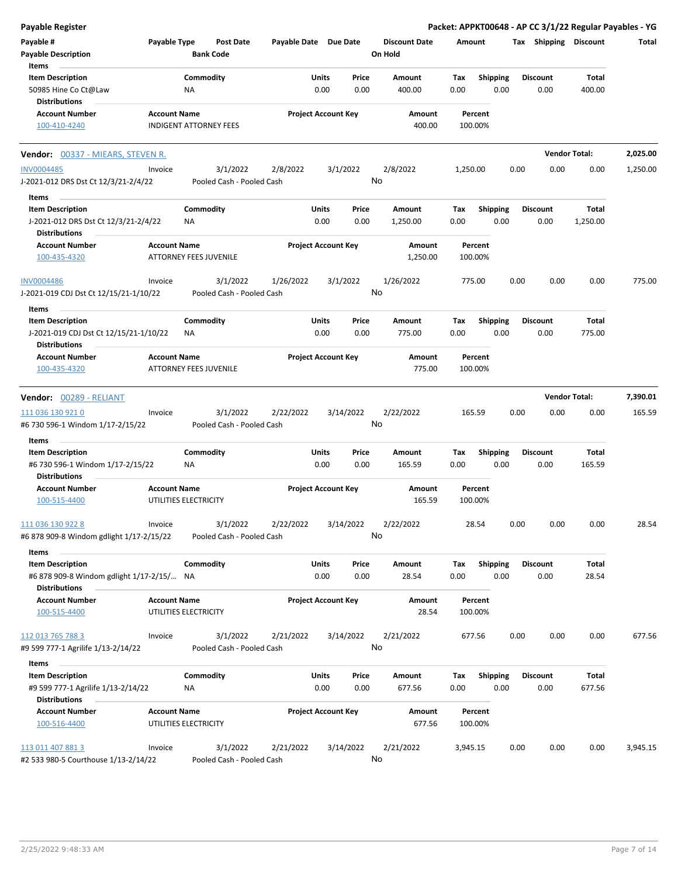| Payable Register                                                                        |                     |                                       |                       |                                |                                 | Packet: APPKT00648 - AP CC 3/1/22 Regular Payables - YG |                         |                       |          |
|-----------------------------------------------------------------------------------------|---------------------|---------------------------------------|-----------------------|--------------------------------|---------------------------------|---------------------------------------------------------|-------------------------|-----------------------|----------|
| Payable #<br><b>Payable Description</b>                                                 | Payable Type        | <b>Post Date</b><br><b>Bank Code</b>  | Payable Date Due Date |                                | <b>Discount Date</b><br>On Hold | Amount                                                  | Tax Shipping Discount   |                       | Total    |
| Items<br><b>Item Description</b>                                                        |                     | Commodity                             |                       | Units<br>Price                 | Amount                          | Tax<br><b>Shipping</b>                                  | <b>Discount</b>         | Total                 |          |
| 50985 Hine Co Ct@Law                                                                    |                     | NA                                    |                       | 0.00<br>0.00                   | 400.00                          | 0.00<br>0.00                                            | 0.00                    | 400.00                |          |
| <b>Distributions</b>                                                                    |                     |                                       |                       |                                |                                 |                                                         |                         |                       |          |
| <b>Account Number</b><br>100-410-4240                                                   | <b>Account Name</b> | <b>INDIGENT ATTORNEY FEES</b>         |                       | <b>Project Account Key</b>     | Amount<br>400.00                | Percent<br>100.00%                                      |                         |                       |          |
| Vendor: 00337 - MIEARS, STEVEN R.                                                       |                     |                                       |                       |                                |                                 |                                                         |                         | <b>Vendor Total:</b>  | 2,025.00 |
| <b>INV0004485</b>                                                                       | Invoice             | 3/1/2022                              | 2/8/2022              | 3/1/2022                       | 2/8/2022                        | 1,250.00                                                | 0.00<br>0.00            | 0.00                  | 1,250.00 |
| J-2021-012 DRS Dst Ct 12/3/21-2/4/22                                                    |                     | Pooled Cash - Pooled Cash             |                       |                                | No                              |                                                         |                         |                       |          |
| Items                                                                                   |                     |                                       |                       |                                |                                 |                                                         |                         |                       |          |
| <b>Item Description</b><br>J-2021-012 DRS Dst Ct 12/3/21-2/4/22<br><b>Distributions</b> |                     | Commodity<br>NA.                      |                       | Units<br>Price<br>0.00<br>0.00 | Amount<br>1,250.00              | <b>Shipping</b><br>Tax<br>0.00<br>0.00                  | <b>Discount</b><br>0.00 | Total<br>1,250.00     |          |
| <b>Account Number</b>                                                                   | <b>Account Name</b> |                                       |                       | <b>Project Account Key</b>     | Amount                          | Percent                                                 |                         |                       |          |
| 100-435-4320                                                                            |                     | <b>ATTORNEY FEES JUVENILE</b>         |                       |                                | 1,250.00                        | 100.00%                                                 |                         |                       |          |
| <b>INV0004486</b><br>J-2021-019 CDJ Dst Ct 12/15/21-1/10/22                             | Invoice             | 3/1/2022<br>Pooled Cash - Pooled Cash | 1/26/2022             | 3/1/2022                       | 1/26/2022<br>No                 | 775.00                                                  | 0.00<br>0.00            | 0.00                  | 775.00   |
| Items                                                                                   |                     |                                       |                       |                                |                                 |                                                         |                         |                       |          |
| <b>Item Description</b>                                                                 |                     | Commodity                             |                       | Units<br>Price                 | Amount                          | <b>Shipping</b><br>Tax                                  | <b>Discount</b>         | Total                 |          |
| J-2021-019 CDJ Dst Ct 12/15/21-1/10/22<br><b>Distributions</b>                          |                     | NA.                                   |                       | 0.00<br>0.00                   | 775.00                          | 0.00<br>0.00                                            | 0.00                    | 775.00                |          |
| <b>Account Number</b>                                                                   | <b>Account Name</b> |                                       |                       | <b>Project Account Key</b>     | Amount                          | Percent                                                 |                         |                       |          |
| 100-435-4320                                                                            |                     | <b>ATTORNEY FEES JUVENILE</b>         |                       |                                | 775.00                          | 100.00%                                                 |                         |                       |          |
| Vendor: 00289 - RELIANT                                                                 |                     |                                       |                       |                                |                                 |                                                         |                         | <b>Vendor Total:</b>  | 7,390.01 |
| 111 036 130 921 0<br>#6 730 596-1 Windom 1/17-2/15/22                                   | Invoice             | 3/1/2022<br>Pooled Cash - Pooled Cash | 2/22/2022             | 3/14/2022                      | 2/22/2022<br>No                 | 165.59                                                  | 0.00<br>0.00            | 0.00                  | 165.59   |
| Items                                                                                   |                     |                                       |                       |                                |                                 |                                                         |                         |                       |          |
| <b>Item Description</b>                                                                 |                     | Commodity                             |                       | Units<br>Price                 | Amount                          | <b>Shipping</b><br>Tax                                  | <b>Discount</b>         | Total                 |          |
| #6 730 596-1 Windom 1/17-2/15/22<br><b>Distributions</b>                                |                     | ΝA                                    |                       | 0.00<br>0.00                   | 165.59                          | 0.00<br>0.00                                            | 0.00                    | 165.59                |          |
| <b>Account Number</b><br>100-515-4400                                                   | <b>Account Name</b> | UTILITIES ELECTRICITY                 |                       | <b>Project Account Key</b>     | Amount<br>165.59                | Percent<br>100.00%                                      |                         |                       |          |
|                                                                                         |                     |                                       |                       |                                |                                 |                                                         |                         |                       |          |
| 111 036 130 922 8<br>#6 878 909-8 Windom gdlight 1/17-2/15/22                           | Invoice             | 3/1/2022<br>Pooled Cash - Pooled Cash | 2/22/2022             | 3/14/2022                      | 2/22/2022<br>No                 | 28.54                                                   | 0.00<br>0.00            | 0.00                  | 28.54    |
| Items                                                                                   |                     |                                       |                       |                                |                                 |                                                         |                         |                       |          |
| <b>Item Description</b><br>#6 878 909-8 Windom gdlight 1/17-2/15/ NA                    |                     | Commodity                             |                       | Units<br>Price<br>0.00<br>0.00 | Amount<br>28.54                 | <b>Shipping</b><br>Tax<br>0.00<br>0.00                  | <b>Discount</b><br>0.00 | <b>Total</b><br>28.54 |          |
| <b>Distributions</b>                                                                    |                     |                                       |                       |                                |                                 |                                                         |                         |                       |          |
| <b>Account Number</b><br>100-515-4400                                                   | <b>Account Name</b> | UTILITIES ELECTRICITY                 |                       | <b>Project Account Key</b>     | Amount<br>28.54                 | Percent<br>100.00%                                      |                         |                       |          |
|                                                                                         |                     |                                       |                       |                                |                                 |                                                         |                         |                       |          |
| 112 013 765 788 3<br>#9 599 777-1 Agrilife 1/13-2/14/22                                 | Invoice             | 3/1/2022<br>Pooled Cash - Pooled Cash | 2/21/2022             | 3/14/2022                      | 2/21/2022<br>No                 | 677.56                                                  | 0.00<br>0.00            | 0.00                  | 677.56   |
| Items                                                                                   |                     |                                       |                       |                                |                                 |                                                         |                         |                       |          |
| <b>Item Description</b><br>#9 599 777-1 Agrilife 1/13-2/14/22                           |                     | Commodity<br>NA                       |                       | Units<br>Price<br>0.00<br>0.00 | Amount<br>677.56                | <b>Shipping</b><br>Tax<br>0.00<br>0.00                  | <b>Discount</b><br>0.00 | Total<br>677.56       |          |
| <b>Distributions</b>                                                                    |                     |                                       |                       |                                |                                 |                                                         |                         |                       |          |
| <b>Account Number</b><br>100-516-4400                                                   | <b>Account Name</b> | UTILITIES ELECTRICITY                 |                       | <b>Project Account Key</b>     | Amount<br>677.56                | Percent<br>100.00%                                      |                         |                       |          |
| 113 011 407 881 3<br>#2 533 980-5 Courthouse 1/13-2/14/22                               | Invoice             | 3/1/2022<br>Pooled Cash - Pooled Cash | 2/21/2022             | 3/14/2022                      | 2/21/2022<br>No                 | 3,945.15                                                | 0.00<br>0.00            | 0.00                  | 3,945.15 |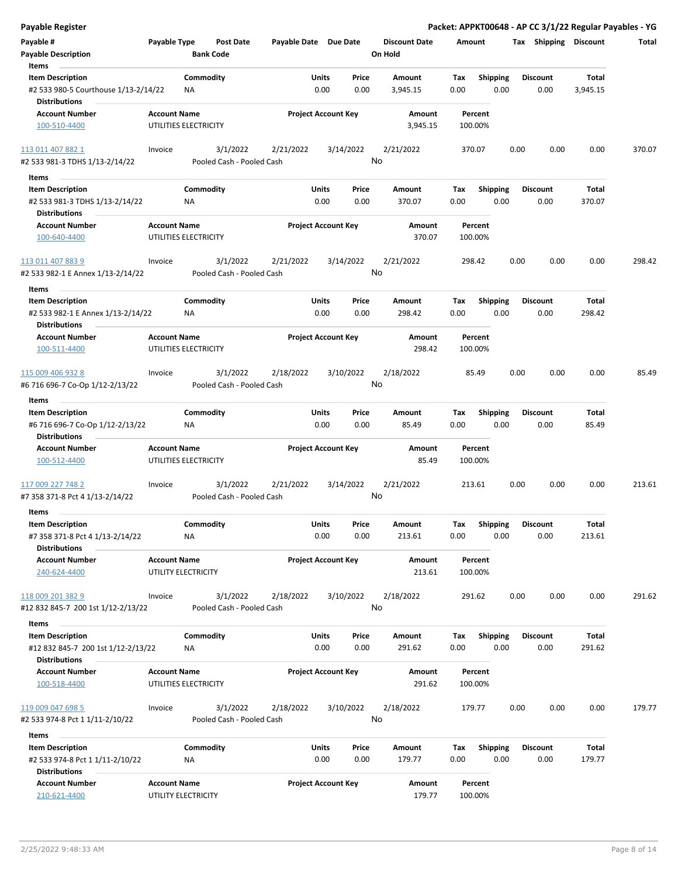| <b>Payable Register</b>                                                              |                     |                                       |                       |               |                            |                                 |                    |                         |      |                         |                   | Packet: APPKT00648 - AP CC 3/1/22 Regular Payables - YG |
|--------------------------------------------------------------------------------------|---------------------|---------------------------------------|-----------------------|---------------|----------------------------|---------------------------------|--------------------|-------------------------|------|-------------------------|-------------------|---------------------------------------------------------|
| Payable #<br><b>Payable Description</b>                                              | Payable Type        | <b>Post Date</b><br><b>Bank Code</b>  | Payable Date Due Date |               |                            | <b>Discount Date</b><br>On Hold | Amount             |                         |      | Tax Shipping Discount   |                   | Total                                                   |
| Items                                                                                |                     |                                       |                       |               |                            |                                 |                    |                         |      |                         |                   |                                                         |
| <b>Item Description</b><br>#2 533 980-5 Courthouse 1/13-2/14/22                      |                     | Commodity<br>ΝA                       |                       | Units<br>0.00 | Price<br>0.00              | Amount<br>3,945.15              | Tax<br>0.00        | <b>Shipping</b><br>0.00 |      | <b>Discount</b><br>0.00 | Total<br>3,945.15 |                                                         |
| <b>Distributions</b>                                                                 |                     |                                       |                       |               |                            |                                 |                    |                         |      |                         |                   |                                                         |
| <b>Account Number</b><br>100-510-4400                                                | <b>Account Name</b> | UTILITIES ELECTRICITY                 |                       |               | <b>Project Account Key</b> | Amount<br>3,945.15              | Percent<br>100.00% |                         |      |                         |                   |                                                         |
| 113 011 407 882 1                                                                    | Invoice             | 3/1/2022                              | 2/21/2022             |               | 3/14/2022                  | 2/21/2022                       | 370.07             |                         | 0.00 | 0.00                    | 0.00              | 370.07                                                  |
| #2 533 981-3 TDHS 1/13-2/14/22                                                       |                     | Pooled Cash - Pooled Cash             |                       |               | No                         |                                 |                    |                         |      |                         |                   |                                                         |
| Items                                                                                |                     |                                       |                       |               |                            |                                 |                    |                         |      |                         |                   |                                                         |
| <b>Item Description</b>                                                              |                     | Commodity                             |                       | Units         | Price                      | Amount                          | Tax                | <b>Shipping</b>         |      | <b>Discount</b>         | Total             |                                                         |
| #2 533 981-3 TDHS 1/13-2/14/22<br><b>Distributions</b>                               |                     | ΝA                                    |                       | 0.00          | 0.00                       | 370.07                          | 0.00               | 0.00                    |      | 0.00                    | 370.07            |                                                         |
| <b>Account Number</b>                                                                | <b>Account Name</b> |                                       |                       |               | <b>Project Account Key</b> | Amount                          | Percent            |                         |      |                         |                   |                                                         |
| 100-640-4400                                                                         |                     | UTILITIES ELECTRICITY                 |                       |               |                            | 370.07                          | 100.00%            |                         |      |                         |                   |                                                         |
| 113 011 407 883 9<br>#2 533 982-1 E Annex 1/13-2/14/22                               | Invoice             | 3/1/2022<br>Pooled Cash - Pooled Cash | 2/21/2022             |               | 3/14/2022<br>No            | 2/21/2022                       | 298.42             |                         | 0.00 | 0.00                    | 0.00              | 298.42                                                  |
| Items                                                                                |                     |                                       |                       |               |                            |                                 |                    |                         |      |                         |                   |                                                         |
| <b>Item Description</b><br>#2 533 982-1 E Annex 1/13-2/14/22<br><b>Distributions</b> |                     | Commodity<br>NA                       |                       | Units<br>0.00 | Price<br>0.00              | Amount<br>298.42                | Tax<br>0.00        | <b>Shipping</b><br>0.00 |      | <b>Discount</b><br>0.00 | Total<br>298.42   |                                                         |
| <b>Account Number</b>                                                                | <b>Account Name</b> |                                       |                       |               | <b>Project Account Key</b> | Amount                          | Percent            |                         |      |                         |                   |                                                         |
| 100-511-4400                                                                         |                     | UTILITIES ELECTRICITY                 |                       |               |                            | 298.42                          | 100.00%            |                         |      |                         |                   |                                                         |
| 115 009 406 932 8                                                                    | Invoice             | 3/1/2022                              | 2/18/2022             |               | 3/10/2022                  | 2/18/2022                       | 85.49              |                         | 0.00 | 0.00                    | 0.00              | 85.49                                                   |
| #6 716 696-7 Co-Op 1/12-2/13/22                                                      |                     | Pooled Cash - Pooled Cash             |                       |               | No                         |                                 |                    |                         |      |                         |                   |                                                         |
| Items                                                                                |                     |                                       |                       |               |                            |                                 |                    |                         |      |                         |                   |                                                         |
| <b>Item Description</b>                                                              |                     | Commodity                             |                       | Units         | Price                      | Amount                          | Tax                | <b>Shipping</b>         |      | <b>Discount</b>         | Total             |                                                         |
| #6 716 696-7 Co-Op 1/12-2/13/22<br><b>Distributions</b>                              |                     | <b>NA</b>                             |                       | 0.00          | 0.00                       | 85.49                           | 0.00               | 0.00                    |      | 0.00                    | 85.49             |                                                         |
| <b>Account Number</b>                                                                | <b>Account Name</b> |                                       |                       |               | <b>Project Account Key</b> | Amount                          | Percent            |                         |      |                         |                   |                                                         |
| 100-512-4400                                                                         |                     | UTILITIES ELECTRICITY                 |                       |               |                            | 85.49                           | 100.00%            |                         |      |                         |                   |                                                         |
| 117 009 227 748 2                                                                    | Invoice             | 3/1/2022                              | 2/21/2022             |               | 3/14/2022                  | 2/21/2022                       | 213.61             |                         | 0.00 | 0.00                    | 0.00              | 213.61                                                  |
| #7 358 371-8 Pct 4 1/13-2/14/22                                                      |                     | Pooled Cash - Pooled Cash             |                       |               | No                         |                                 |                    |                         |      |                         |                   |                                                         |
| Items                                                                                |                     |                                       |                       |               |                            |                                 |                    |                         |      |                         |                   |                                                         |
| <b>Item Description</b>                                                              |                     | Commodity                             |                       | Units         | Price                      | Amount                          | Tax                | <b>Shipping</b>         |      | <b>Discount</b>         | Total             |                                                         |
| #7 358 371-8 Pct 4 1/13-2/14/22<br><b>Distributions</b>                              |                     | <b>NA</b>                             |                       | 0.00          | 0.00                       | 213.61                          | 0.00               | 0.00                    |      | 0.00                    | 213.61            |                                                         |
| <b>Account Number</b><br>240-624-4400                                                | <b>Account Name</b> | UTILITY ELECTRICITY                   |                       |               | <b>Project Account Key</b> | Amount<br>213.61                | Percent<br>100.00% |                         |      |                         |                   |                                                         |
| 118 009 201 382 9                                                                    | Invoice             | 3/1/2022                              | 2/18/2022             |               | 3/10/2022                  | 2/18/2022                       | 291.62             |                         | 0.00 | 0.00                    | 0.00              | 291.62                                                  |
| #12 832 845-7 200 1st 1/12-2/13/22                                                   |                     | Pooled Cash - Pooled Cash             |                       |               | No                         |                                 |                    |                         |      |                         |                   |                                                         |
| Items                                                                                |                     |                                       |                       |               |                            |                                 |                    |                         |      |                         |                   |                                                         |
|                                                                                      |                     | Commodity                             |                       | Units         |                            |                                 |                    | Shipping                |      | <b>Discount</b>         | Total             |                                                         |
| <b>Item Description</b><br>#12 832 845-7 200 1st 1/12-2/13/22                        |                     | NA                                    |                       | 0.00          | Price<br>0.00              | Amount<br>291.62                | Тах<br>0.00        | 0.00                    |      | 0.00                    | 291.62            |                                                         |
| <b>Distributions</b>                                                                 |                     |                                       |                       |               |                            |                                 |                    |                         |      |                         |                   |                                                         |
| <b>Account Number</b><br>100-518-4400                                                | <b>Account Name</b> | UTILITIES ELECTRICITY                 |                       |               | <b>Project Account Key</b> | Amount<br>291.62                | Percent<br>100.00% |                         |      |                         |                   |                                                         |
|                                                                                      |                     |                                       |                       |               |                            |                                 |                    |                         |      |                         |                   |                                                         |
| 119 009 047 698 5<br>#2 533 974-8 Pct 1 1/11-2/10/22                                 | Invoice             | 3/1/2022<br>Pooled Cash - Pooled Cash | 2/18/2022             |               | 3/10/2022<br>No            | 2/18/2022                       | 179.77             |                         | 0.00 | 0.00                    | 0.00              | 179.77                                                  |
| Items                                                                                |                     |                                       |                       |               |                            |                                 |                    |                         |      |                         |                   |                                                         |
| <b>Item Description</b>                                                              |                     | Commodity                             |                       | Units         | Price                      | Amount                          | Tax                | <b>Shipping</b>         |      | <b>Discount</b>         | Total             |                                                         |
| #2 533 974-8 Pct 1 1/11-2/10/22<br><b>Distributions</b>                              |                     | ΝA                                    |                       | 0.00          | 0.00                       | 179.77                          | 0.00               | 0.00                    |      | 0.00                    | 179.77            |                                                         |
| <b>Account Number</b>                                                                | <b>Account Name</b> |                                       |                       |               | <b>Project Account Key</b> | Amount                          | Percent            |                         |      |                         |                   |                                                         |
| 210-621-4400                                                                         |                     | UTILITY ELECTRICITY                   |                       |               |                            | 179.77                          | 100.00%            |                         |      |                         |                   |                                                         |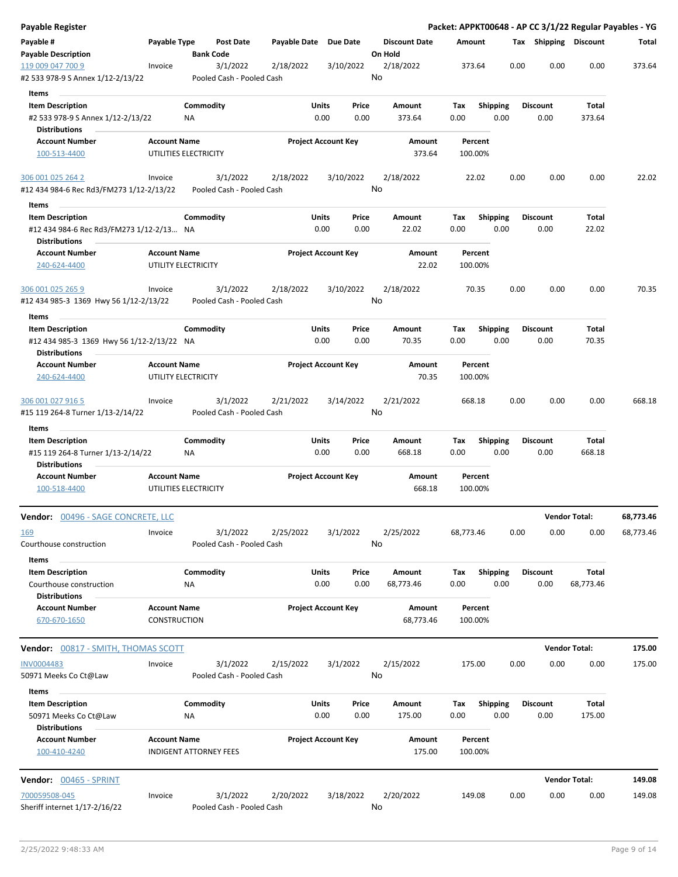| <b>Payable Register</b>                                                              |                     |                               |                           |                       |                            |               |                                 |                  |             |                         |      |                         |                      | Packet: APPKT00648 - AP CC 3/1/22 Regular Payables - YG |
|--------------------------------------------------------------------------------------|---------------------|-------------------------------|---------------------------|-----------------------|----------------------------|---------------|---------------------------------|------------------|-------------|-------------------------|------|-------------------------|----------------------|---------------------------------------------------------|
| Payable #<br><b>Payable Description</b>                                              | Payable Type        | <b>Bank Code</b>              | <b>Post Date</b>          | Payable Date Due Date |                            |               | <b>Discount Date</b><br>On Hold |                  | Amount      |                         |      | Tax Shipping Discount   |                      | Total                                                   |
| 119 009 047 700 9                                                                    | Invoice             |                               | 3/1/2022                  | 2/18/2022             |                            | 3/10/2022     | 2/18/2022                       |                  |             | 373.64                  | 0.00 | 0.00                    | 0.00                 | 373.64                                                  |
| #2 533 978-9 S Annex 1/12-2/13/22                                                    |                     |                               | Pooled Cash - Pooled Cash |                       |                            |               | No                              |                  |             |                         |      |                         |                      |                                                         |
| Items                                                                                |                     |                               |                           |                       |                            |               |                                 |                  |             |                         |      |                         |                      |                                                         |
| <b>Item Description</b>                                                              |                     | Commodity                     |                           |                       | Units                      | Price         | Amount                          |                  | Tax         | <b>Shipping</b>         |      | <b>Discount</b>         | Total                |                                                         |
| #2 533 978-9 S Annex 1/12-2/13/22                                                    |                     | ΝA                            |                           |                       | 0.00                       | 0.00          |                                 | 373.64           | 0.00        | 0.00                    |      | 0.00                    | 373.64               |                                                         |
| <b>Distributions</b>                                                                 |                     |                               |                           |                       |                            |               |                                 |                  |             |                         |      |                         |                      |                                                         |
| <b>Account Number</b>                                                                | <b>Account Name</b> |                               |                           |                       | <b>Project Account Key</b> |               |                                 | Amount           |             | Percent                 |      |                         |                      |                                                         |
| 100-513-4400                                                                         |                     | UTILITIES ELECTRICITY         |                           |                       |                            |               |                                 | 373.64           |             | 100.00%                 |      |                         |                      |                                                         |
| 306 001 025 264 2                                                                    | Invoice             |                               | 3/1/2022                  | 2/18/2022             |                            | 3/10/2022     | 2/18/2022                       |                  |             | 22.02                   | 0.00 | 0.00                    | 0.00                 | 22.02                                                   |
| #12 434 984-6 Rec Rd3/FM273 1/12-2/13/22                                             |                     |                               | Pooled Cash - Pooled Cash |                       |                            |               | No                              |                  |             |                         |      |                         |                      |                                                         |
| Items                                                                                |                     |                               |                           |                       |                            |               |                                 |                  |             |                         |      |                         |                      |                                                         |
| <b>Item Description</b>                                                              |                     | Commodity                     |                           |                       | Units                      | Price         | Amount                          |                  | Tax         | <b>Shipping</b>         |      | <b>Discount</b>         | Total                |                                                         |
| #12 434 984-6 Rec Rd3/FM273 1/12-2/13 NA<br><b>Distributions</b>                     |                     |                               |                           |                       | 0.00                       | 0.00          |                                 | 22.02            | 0.00        | 0.00                    |      | 0.00                    | 22.02                |                                                         |
| <b>Account Number</b><br>240-624-4400                                                | <b>Account Name</b> |                               |                           |                       | <b>Project Account Key</b> |               |                                 | Amount<br>22.02  |             | Percent                 |      |                         |                      |                                                         |
|                                                                                      |                     | UTILITY ELECTRICITY           |                           |                       |                            |               |                                 |                  |             | 100.00%                 |      |                         |                      |                                                         |
| 306 001 025 265 9                                                                    | Invoice             |                               | 3/1/2022                  | 2/18/2022             |                            | 3/10/2022     | 2/18/2022                       |                  |             | 70.35                   | 0.00 | 0.00                    | 0.00                 | 70.35                                                   |
| #12 434 985-3 1369 Hwy 56 1/12-2/13/22                                               |                     |                               | Pooled Cash - Pooled Cash |                       |                            |               | No                              |                  |             |                         |      |                         |                      |                                                         |
| Items                                                                                |                     |                               |                           |                       |                            |               |                                 |                  |             |                         |      |                         |                      |                                                         |
| <b>Item Description</b><br>#12 434 985-3 1369 Hwy 56 1/12-2/13/22 NA                 |                     | Commodity                     |                           |                       | Units<br>0.00              | Price<br>0.00 | Amount                          | 70.35            | Tax<br>0.00 | <b>Shipping</b><br>0.00 |      | <b>Discount</b><br>0.00 | Total<br>70.35       |                                                         |
| <b>Distributions</b>                                                                 |                     |                               |                           |                       |                            |               |                                 |                  |             |                         |      |                         |                      |                                                         |
| <b>Account Number</b>                                                                | <b>Account Name</b> |                               |                           |                       | <b>Project Account Key</b> |               |                                 | Amount           |             | Percent                 |      |                         |                      |                                                         |
| 240-624-4400                                                                         |                     | UTILITY ELECTRICITY           |                           |                       |                            |               |                                 | 70.35            |             | 100.00%                 |      |                         |                      |                                                         |
| 306 001 027 916 5                                                                    | Invoice             |                               | 3/1/2022                  | 2/21/2022             |                            | 3/14/2022     | 2/21/2022                       |                  |             | 668.18                  | 0.00 | 0.00                    | 0.00                 | 668.18                                                  |
| #15 119 264-8 Turner 1/13-2/14/22                                                    |                     |                               | Pooled Cash - Pooled Cash |                       |                            |               | No                              |                  |             |                         |      |                         |                      |                                                         |
| Items                                                                                |                     |                               |                           |                       |                            |               |                                 |                  |             |                         |      |                         |                      |                                                         |
| <b>Item Description</b><br>#15 119 264-8 Turner 1/13-2/14/22<br><b>Distributions</b> |                     | Commodity<br>ΝA               |                           |                       | Units<br>0.00              | Price<br>0.00 | Amount                          | 668.18           | Tax<br>0.00 | <b>Shipping</b><br>0.00 |      | <b>Discount</b><br>0.00 | Total<br>668.18      |                                                         |
| <b>Account Number</b><br>100-518-4400                                                | <b>Account Name</b> | UTILITIES ELECTRICITY         |                           |                       | <b>Project Account Key</b> |               |                                 | Amount<br>668.18 |             | Percent<br>100.00%      |      |                         |                      |                                                         |
| Vendor: 00496 - SAGE CONCRETE, LLC                                                   |                     |                               |                           |                       |                            |               |                                 |                  |             |                         |      |                         | <b>Vendor Total:</b> | 68,773.46                                               |
| <u> 169</u>                                                                          | Invoice             |                               | 3/1/2022                  | 2/25/2022             | 3/1/2022                   |               | 2/25/2022                       |                  | 68,773.46   |                         | 0.00 | 0.00                    | 0.00                 | 68,773.46                                               |
| Courthouse construction                                                              |                     |                               | Pooled Cash - Pooled Cash |                       |                            |               | No                              |                  |             |                         |      |                         |                      |                                                         |
| Items<br><b>Item Description</b>                                                     |                     | Commodity                     |                           |                       | Units                      | Price         | Amount                          |                  | Тах         | <b>Shipping</b>         |      | <b>Discount</b>         | Total                |                                                         |
| Courthouse construction<br><b>Distributions</b>                                      |                     | NA                            |                           |                       | 0.00                       | 0.00          | 68,773.46                       |                  | 0.00        | 0.00                    |      | 0.00                    | 68,773.46            |                                                         |
| <b>Account Number</b>                                                                | <b>Account Name</b> |                               |                           |                       | <b>Project Account Key</b> |               |                                 | Amount           |             | Percent                 |      |                         |                      |                                                         |
| 670-670-1650                                                                         | CONSTRUCTION        |                               |                           |                       |                            |               |                                 | 68,773.46        |             | 100.00%                 |      |                         |                      |                                                         |
|                                                                                      |                     |                               |                           |                       |                            |               |                                 |                  |             |                         |      |                         | <b>Vendor Total:</b> | 175.00                                                  |
| <b>INV0004483</b>                                                                    | Invoice             |                               | 3/1/2022                  | 2/15/2022             | 3/1/2022                   |               | 2/15/2022                       |                  |             | 175.00                  | 0.00 | 0.00                    | 0.00                 | 175.00                                                  |
| 50971 Meeks Co Ct@Law                                                                |                     |                               | Pooled Cash - Pooled Cash |                       |                            |               | No                              |                  |             |                         |      |                         |                      |                                                         |
| Items<br><b>Item Description</b>                                                     |                     | Commodity                     |                           |                       | Units                      | Price         | Amount                          |                  | Tax         | <b>Shipping</b>         |      | <b>Discount</b>         | Total                |                                                         |
| 50971 Meeks Co Ct@Law<br><b>Distributions</b>                                        |                     | ΝA                            |                           |                       | 0.00                       | 0.00          |                                 | 175.00           | 0.00        | 0.00                    |      | 0.00                    | 175.00               |                                                         |
| <b>Account Number</b>                                                                | <b>Account Name</b> |                               |                           |                       | Project Account Key        |               |                                 | Amount           |             | Percent                 |      |                         |                      |                                                         |
| 100-410-4240                                                                         |                     | <b>INDIGENT ATTORNEY FEES</b> |                           |                       |                            |               |                                 | 175.00           |             | 100.00%                 |      |                         |                      |                                                         |
| Vendor: 00465 - SPRINT                                                               |                     |                               |                           |                       |                            |               |                                 |                  |             |                         |      |                         | <b>Vendor Total:</b> | 149.08                                                  |
| 700059508-045                                                                        | Invoice             |                               | 3/1/2022                  | 2/20/2022             |                            | 3/18/2022     | 2/20/2022                       |                  |             | 149.08                  | 0.00 | 0.00                    | 0.00                 | 149.08                                                  |
| Sheriff internet 1/17-2/16/22                                                        |                     |                               | Pooled Cash - Pooled Cash |                       |                            |               | No                              |                  |             |                         |      |                         |                      |                                                         |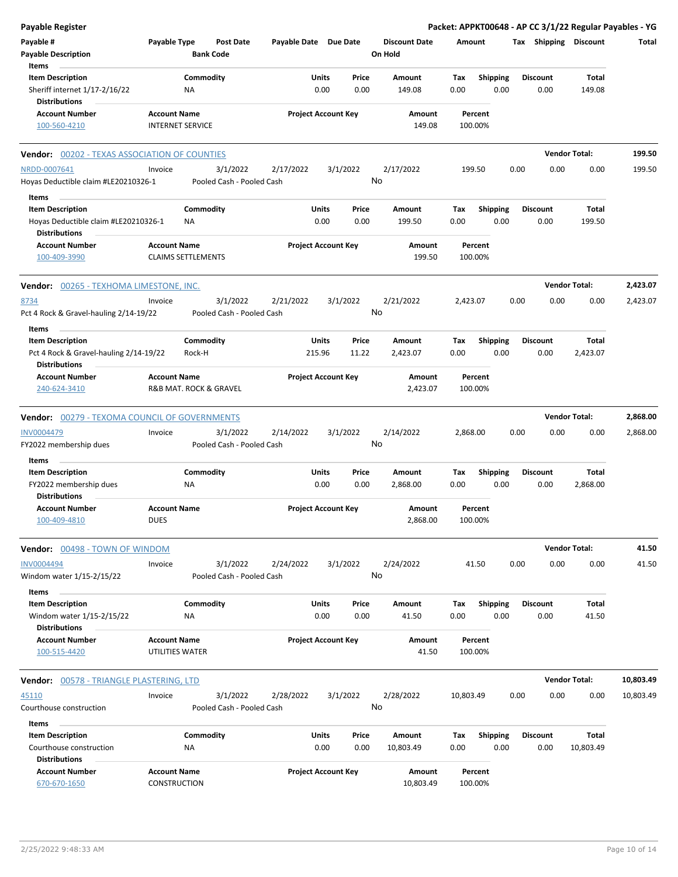| <b>Payable Register</b>                                                                 |                                                |                                       |                       |                            |                                 |                    |                         | Packet: APPKT00648 - AP CC 3/1/22 Regular Payables - YG |                      |           |
|-----------------------------------------------------------------------------------------|------------------------------------------------|---------------------------------------|-----------------------|----------------------------|---------------------------------|--------------------|-------------------------|---------------------------------------------------------|----------------------|-----------|
| Payable #<br><b>Payable Description</b>                                                 | Payable Type                                   | <b>Post Date</b><br><b>Bank Code</b>  | Payable Date Due Date |                            | <b>Discount Date</b><br>On Hold | Amount             |                         | Tax Shipping Discount                                   |                      | Total     |
| Items<br><b>Item Description</b><br>Sheriff internet 1/17-2/16/22                       | Commodity<br>NA                                |                                       | Units                 | Price<br>0.00<br>0.00      | Amount<br>149.08                | Tax<br>0.00        | <b>Shipping</b><br>0.00 | <b>Discount</b><br>0.00                                 | Total<br>149.08      |           |
| <b>Distributions</b>                                                                    |                                                |                                       |                       |                            |                                 |                    |                         |                                                         |                      |           |
| <b>Account Number</b><br>100-560-4210                                                   | <b>Account Name</b><br><b>INTERNET SERVICE</b> |                                       |                       | <b>Project Account Key</b> | Amount<br>149.08                | Percent<br>100.00% |                         |                                                         |                      |           |
| <b>Vendor: 00202 - TEXAS ASSOCIATION OF COUNTIES</b>                                    |                                                |                                       |                       |                            |                                 |                    |                         |                                                         | <b>Vendor Total:</b> | 199.50    |
| NRDD-0007641<br>Hoyas Deductible claim #LE20210326-1                                    | Invoice                                        | 3/1/2022<br>Pooled Cash - Pooled Cash | 2/17/2022             | 3/1/2022                   | 2/17/2022<br>No                 | 199.50             |                         | 0.00<br>0.00                                            | 0.00                 | 199.50    |
| Items                                                                                   |                                                |                                       | Units                 |                            |                                 |                    |                         | <b>Discount</b>                                         |                      |           |
| <b>Item Description</b><br>Hoyas Deductible claim #LE20210326-1<br><b>Distributions</b> | Commodity<br><b>NA</b>                         |                                       |                       | Price<br>0.00<br>0.00      | Amount<br>199.50                | Tax<br>0.00        | <b>Shipping</b><br>0.00 | 0.00                                                    | Total<br>199.50      |           |
| <b>Account Number</b>                                                                   | <b>Account Name</b>                            |                                       |                       | <b>Project Account Key</b> | Amount                          | Percent            |                         |                                                         |                      |           |
| 100-409-3990                                                                            | <b>CLAIMS SETTLEMENTS</b>                      |                                       |                       |                            | 199.50                          | 100.00%            |                         |                                                         |                      |           |
| Vendor: 00265 - TEXHOMA LIMESTONE, INC.                                                 |                                                |                                       |                       |                            |                                 |                    |                         |                                                         | <b>Vendor Total:</b> | 2,423.07  |
| 8734<br>Pct 4 Rock & Gravel-hauling 2/14-19/22                                          | Invoice                                        | 3/1/2022<br>Pooled Cash - Pooled Cash | 2/21/2022             | 3/1/2022                   | 2/21/2022<br>No                 | 2,423.07           |                         | 0.00<br>0.00                                            | 0.00                 | 2,423.07  |
| Items<br><b>Item Description</b>                                                        | Commodity                                      |                                       | Units                 | Price                      | Amount                          | Тах                | Shipping                | <b>Discount</b>                                         | Total                |           |
| Pct 4 Rock & Gravel-hauling 2/14-19/22<br><b>Distributions</b>                          | Rock-H                                         |                                       | 215.96                | 11.22                      | 2,423.07                        | 0.00               | 0.00                    | 0.00                                                    | 2,423.07             |           |
| <b>Account Number</b><br>240-624-3410                                                   | <b>Account Name</b><br>R&B MAT. ROCK & GRAVEL  |                                       |                       | <b>Project Account Key</b> | Amount<br>2,423.07              | Percent<br>100.00% |                         |                                                         |                      |           |
| <b>Vendor: 00279 - TEXOMA COUNCIL OF GOVERNMENTS</b>                                    |                                                |                                       |                       |                            |                                 |                    |                         |                                                         | <b>Vendor Total:</b> | 2,868.00  |
| <b>INV0004479</b><br>FY2022 membership dues                                             | Invoice                                        | 3/1/2022<br>Pooled Cash - Pooled Cash | 2/14/2022             | 3/1/2022                   | 2/14/2022<br>No                 | 2,868.00           |                         | 0.00<br>0.00                                            | 0.00                 | 2,868.00  |
| Items                                                                                   |                                                |                                       |                       |                            |                                 |                    |                         |                                                         |                      |           |
| <b>Item Description</b>                                                                 | Commodity                                      |                                       | Units                 | Price                      | Amount                          | Tax                | Shipping                | <b>Discount</b>                                         | Total                |           |
| FY2022 membership dues<br><b>Distributions</b>                                          | ΝA                                             |                                       |                       | 0.00<br>0.00               | 2,868.00                        | 0.00               | 0.00                    | 0.00                                                    | 2,868.00             |           |
| <b>Account Number</b><br>100-409-4810                                                   | <b>Account Name</b><br><b>DUES</b>             |                                       |                       | <b>Project Account Key</b> | Amount<br>2,868.00              | Percent<br>100.00% |                         |                                                         |                      |           |
| Vendor: 00498 - TOWN OF WINDOM                                                          |                                                |                                       |                       |                            |                                 |                    |                         |                                                         | <b>Vendor Total:</b> | 41.50     |
| <b>INV0004494</b><br>Windom water 1/15-2/15/22                                          | Invoice                                        | 3/1/2022<br>Pooled Cash - Pooled Cash | 2/24/2022             | 3/1/2022                   | 2/24/2022<br>No                 | 41.50              |                         | 0.00<br>0.00                                            | 0.00                 | 41.50     |
| Items<br><b>Item Description</b><br>Windom water 1/15-2/15/22<br><b>Distributions</b>   | Commodity<br>ΝA                                |                                       | Units                 | Price<br>0.00<br>0.00      | Amount<br>41.50                 | Tax<br>0.00        | <b>Shipping</b><br>0.00 | <b>Discount</b><br>0.00                                 | Total<br>41.50       |           |
| <b>Account Number</b><br>100-515-4420                                                   | <b>Account Name</b><br>UTILITIES WATER         |                                       |                       | <b>Project Account Key</b> | Amount<br>41.50                 | Percent<br>100.00% |                         |                                                         |                      |           |
| Vendor: 00578 - TRIANGLE PLASTERING, LTD                                                |                                                |                                       |                       |                            |                                 |                    |                         |                                                         | <b>Vendor Total:</b> | 10,803.49 |
| 45110                                                                                   | Invoice                                        | 3/1/2022                              | 2/28/2022             | 3/1/2022                   | 2/28/2022                       | 10,803.49          |                         | 0.00<br>0.00                                            | 0.00                 | 10,803.49 |
| Courthouse construction                                                                 |                                                | Pooled Cash - Pooled Cash             |                       |                            | No                              |                    |                         |                                                         |                      |           |
| Items                                                                                   |                                                |                                       |                       |                            |                                 |                    |                         |                                                         |                      |           |
| <b>Item Description</b><br>Courthouse construction<br><b>Distributions</b>              | Commodity<br>NA                                |                                       | Units                 | Price<br>0.00<br>0.00      | Amount<br>10,803.49             | Tax<br>0.00        | <b>Shipping</b><br>0.00 | <b>Discount</b><br>0.00                                 | Total<br>10,803.49   |           |
| <b>Account Number</b><br>670-670-1650                                                   | <b>Account Name</b><br>CONSTRUCTION            |                                       |                       | <b>Project Account Key</b> | Amount<br>10,803.49             | Percent<br>100.00% |                         |                                                         |                      |           |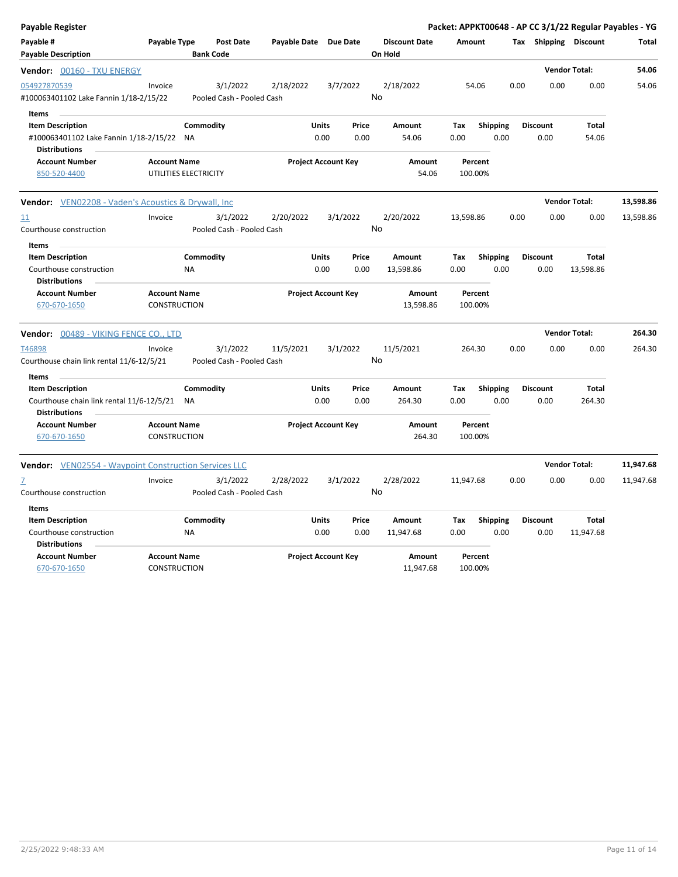| Payable Register                                                                                      |                                            |                                       |                       |                            |               |                                 |                    |                         |      |                         |                           | Packet: APPKT00648 - AP CC 3/1/22 Regular Payables - YG |
|-------------------------------------------------------------------------------------------------------|--------------------------------------------|---------------------------------------|-----------------------|----------------------------|---------------|---------------------------------|--------------------|-------------------------|------|-------------------------|---------------------------|---------------------------------------------------------|
| Payable #<br><b>Payable Description</b>                                                               | Payable Type                               | <b>Post Date</b><br><b>Bank Code</b>  | Payable Date Due Date |                            |               | <b>Discount Date</b><br>On Hold | Amount             |                         |      |                         | Tax Shipping Discount     | Total                                                   |
| Vendor: 00160 - TXU ENERGY                                                                            |                                            |                                       |                       |                            |               |                                 |                    |                         |      |                         | <b>Vendor Total:</b>      | 54.06                                                   |
| 054927870539<br>#100063401102 Lake Fannin 1/18-2/15/22                                                | Invoice                                    | 3/1/2022<br>Pooled Cash - Pooled Cash | 2/18/2022             | 3/7/2022                   |               | 2/18/2022<br>No                 | 54.06              |                         | 0.00 | 0.00                    | 0.00                      | 54.06                                                   |
| Items<br><b>Item Description</b><br>#100063401102 Lake Fannin 1/18-2/15/22 NA<br><b>Distributions</b> |                                            | Commodity                             |                       | Units<br>0.00              | Price<br>0.00 | Amount<br>54.06                 | Tax<br>0.00        | <b>Shipping</b><br>0.00 |      | <b>Discount</b><br>0.00 | Total<br>54.06            |                                                         |
| <b>Account Number</b><br>850-520-4400                                                                 | <b>Account Name</b>                        | UTILITIES ELECTRICITY                 |                       | <b>Project Account Key</b> |               | Amount<br>54.06                 | Percent<br>100.00% |                         |      |                         |                           |                                                         |
| <b>Vendor:</b> VEN02208 - Vaden's Acoustics & Drywall, Inc                                            |                                            |                                       |                       |                            |               |                                 |                    |                         |      |                         | <b>Vendor Total:</b>      | 13,598.86                                               |
| 11<br>Courthouse construction                                                                         | Invoice                                    | 3/1/2022<br>Pooled Cash - Pooled Cash | 2/20/2022             | 3/1/2022                   |               | 2/20/2022<br>No                 | 13,598.86          |                         | 0.00 | 0.00                    | 0.00                      | 13,598.86                                               |
| Items<br><b>Item Description</b><br>Courthouse construction<br><b>Distributions</b>                   |                                            | Commodity<br><b>NA</b>                |                       | Units<br>0.00              | Price<br>0.00 | Amount<br>13,598.86             | Tax<br>0.00        | <b>Shipping</b><br>0.00 |      | <b>Discount</b><br>0.00 | <b>Total</b><br>13,598.86 |                                                         |
| <b>Account Number</b><br>670-670-1650                                                                 | <b>Account Name</b><br>CONSTRUCTION        |                                       |                       | <b>Project Account Key</b> |               | Amount<br>13,598.86             | Percent<br>100.00% |                         |      |                         |                           |                                                         |
| Vendor: 00489 - VIKING FENCE CO., LTD                                                                 |                                            |                                       |                       |                            |               |                                 |                    |                         |      |                         | <b>Vendor Total:</b>      | 264.30                                                  |
| T46898<br>Courthouse chain link rental 11/6-12/5/21                                                   | Invoice                                    | 3/1/2022<br>Pooled Cash - Pooled Cash | 11/5/2021             | 3/1/2022                   |               | 11/5/2021<br>No                 | 264.30             |                         | 0.00 | 0.00                    | 0.00                      | 264.30                                                  |
| Items<br><b>Item Description</b><br>Courthouse chain link rental 11/6-12/5/21<br><b>Distributions</b> |                                            | Commodity<br><b>NA</b>                |                       | Units<br>0.00              | Price<br>0.00 | Amount<br>264.30                | Tax<br>0.00        | <b>Shipping</b><br>0.00 |      | <b>Discount</b><br>0.00 | Total<br>264.30           |                                                         |
| <b>Account Number</b><br>670-670-1650                                                                 | <b>Account Name</b><br><b>CONSTRUCTION</b> |                                       |                       | <b>Project Account Key</b> |               | Amount<br>264.30                | Percent<br>100.00% |                         |      |                         |                           |                                                         |
| Vendor: VEN02554 - Waypoint Construction Services LLC                                                 |                                            |                                       |                       |                            |               |                                 |                    |                         |      |                         | <b>Vendor Total:</b>      | 11,947.68                                               |
| Z<br>Courthouse construction                                                                          | Invoice                                    | 3/1/2022<br>Pooled Cash - Pooled Cash | 2/28/2022             | 3/1/2022                   |               | 2/28/2022<br>No                 | 11,947.68          |                         | 0.00 | 0.00                    | 0.00                      | 11,947.68                                               |
| Items<br><b>Item Description</b><br>Courthouse construction<br><b>Distributions</b>                   |                                            | Commodity<br><b>NA</b>                |                       | Units<br>0.00              | Price<br>0.00 | Amount<br>11,947.68             | Tax<br>0.00        | <b>Shipping</b><br>0.00 |      | <b>Discount</b><br>0.00 | Total<br>11,947.68        |                                                         |
| <b>Account Number</b><br>670-670-1650                                                                 | <b>Account Name</b><br><b>CONSTRUCTION</b> |                                       |                       | <b>Project Account Key</b> |               | Amount<br>11,947.68             | Percent<br>100.00% |                         |      |                         |                           |                                                         |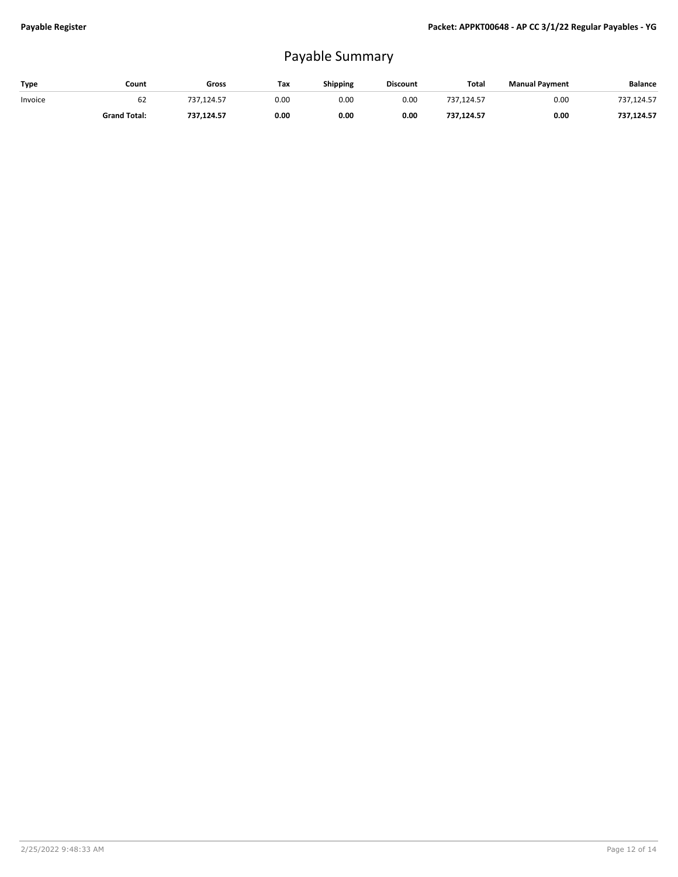## Payable Summary

| Type    | Count               | Gross      | Tax  | Shipping | <b>Discount</b> | Total      | <b>Manual Payment</b> | Balance    |
|---------|---------------------|------------|------|----------|-----------------|------------|-----------------------|------------|
| Invoice | 62                  | 737.124.57 | 0.00 | 0.00     | 0.00            | 737.124.57 | 0.00                  | 737,124.57 |
|         | <b>Grand Total:</b> | 737,124.57 | 0.00 | 0.00     | 0.00            | 737,124.57 | 0.00                  | 737,124.57 |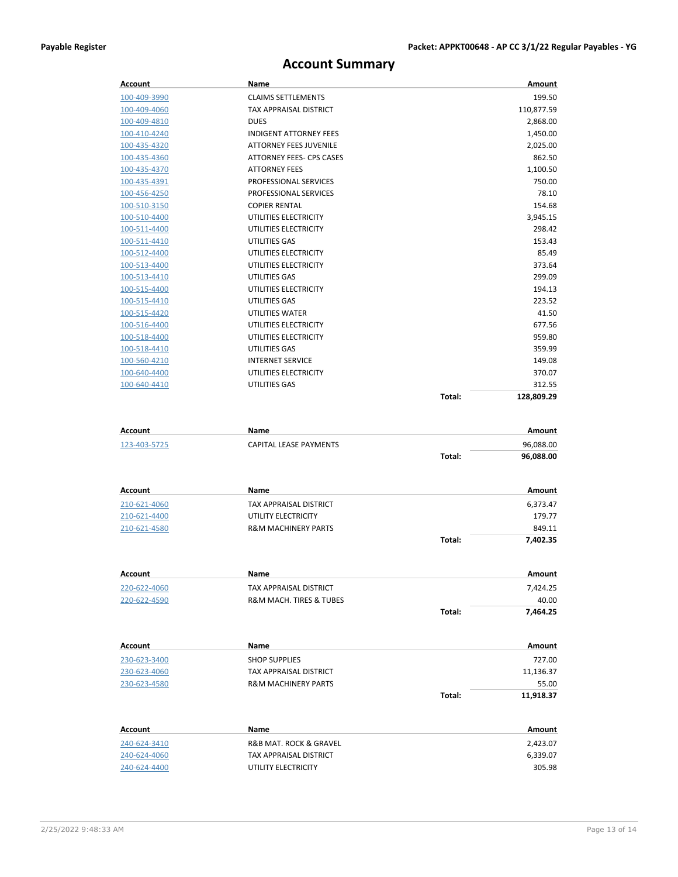## **Account Summary**

| Account      | <b>Name</b>                   |        | Amount     |
|--------------|-------------------------------|--------|------------|
| 100-409-3990 | <b>CLAIMS SETTLEMENTS</b>     |        | 199.50     |
| 100-409-4060 | TAX APPRAISAL DISTRICT        |        | 110,877.59 |
| 100-409-4810 | <b>DUES</b>                   |        | 2,868.00   |
| 100-410-4240 | <b>INDIGENT ATTORNEY FEES</b> |        | 1,450.00   |
| 100-435-4320 | <b>ATTORNEY FEES JUVENILE</b> |        | 2,025.00   |
| 100-435-4360 | ATTORNEY FEES- CPS CASES      |        | 862.50     |
| 100-435-4370 | <b>ATTORNEY FEES</b>          |        | 1,100.50   |
| 100-435-4391 | PROFESSIONAL SERVICES         |        | 750.00     |
| 100-456-4250 | PROFESSIONAL SERVICES         |        | 78.10      |
| 100-510-3150 | <b>COPIER RENTAL</b>          |        | 154.68     |
| 100-510-4400 | UTILITIES ELECTRICITY         |        | 3,945.15   |
| 100-511-4400 | UTILITIES ELECTRICITY         |        | 298.42     |
| 100-511-4410 | UTILITIES GAS                 |        | 153.43     |
| 100-512-4400 | UTILITIES ELECTRICITY         |        | 85.49      |
| 100-513-4400 | UTILITIES ELECTRICITY         |        | 373.64     |
| 100-513-4410 | UTILITIES GAS                 |        | 299.09     |
| 100-515-4400 | UTILITIES ELECTRICITY         |        | 194.13     |
| 100-515-4410 | UTILITIES GAS                 |        | 223.52     |
| 100-515-4420 | <b>UTILITIES WATER</b>        |        | 41.50      |
| 100-516-4400 | UTILITIES ELECTRICITY         |        | 677.56     |
| 100-518-4400 | UTILITIES ELECTRICITY         |        | 959.80     |
| 100-518-4410 | UTILITIES GAS                 |        | 359.99     |
| 100-560-4210 | <b>INTERNET SERVICE</b>       |        | 149.08     |
| 100-640-4400 | UTILITIES ELECTRICITY         |        | 370.07     |
| 100-640-4410 | UTILITIES GAS                 |        | 312.55     |
|              |                               | Total: | 128,809.29 |

| Account      | Name                           |        | Amount    |
|--------------|--------------------------------|--------|-----------|
| 123-403-5725 | CAPITAL LEASE PAYMENTS         |        | 96,088.00 |
|              |                                | Total: | 96,088.00 |
| Account      | Name                           |        | Amount    |
| 210-621-4060 | TAX APPRAISAL DISTRICT         |        | 6,373.47  |
| 210-621-4400 | UTILITY ELECTRICITY            |        | 179.77    |
| 210-621-4580 | <b>R&amp;M MACHINERY PARTS</b> |        | 849.11    |
|              |                                | Total: | 7.402.35  |

| Account      | Name                    |        | Amount   |
|--------------|-------------------------|--------|----------|
| 220-622-4060 | TAX APPRAISAL DISTRICT  |        | 7.424.25 |
| 220-622-4590 | R&M MACH. TIRES & TUBES |        | 40.00    |
|              |                         | Total: | 7.464.25 |

| Account      | Name                           |        | Amount    |
|--------------|--------------------------------|--------|-----------|
| 230-623-3400 | <b>SHOP SUPPLIES</b>           |        | 727.00    |
| 230-623-4060 | TAX APPRAISAL DISTRICT         |        | 11,136.37 |
| 230-623-4580 | <b>R&amp;M MACHINERY PARTS</b> |        | 55.00     |
|              |                                | Total: | 11.918.37 |

| Account      | Name                   | Amount   |
|--------------|------------------------|----------|
| 240-624-3410 | R&B MAT. ROCK & GRAVEL | 2.423.07 |
| 240-624-4060 | TAX APPRAISAL DISTRICT | 6.339.07 |
| 240-624-4400 | UTILITY ELECTRICITY    | 305.98   |